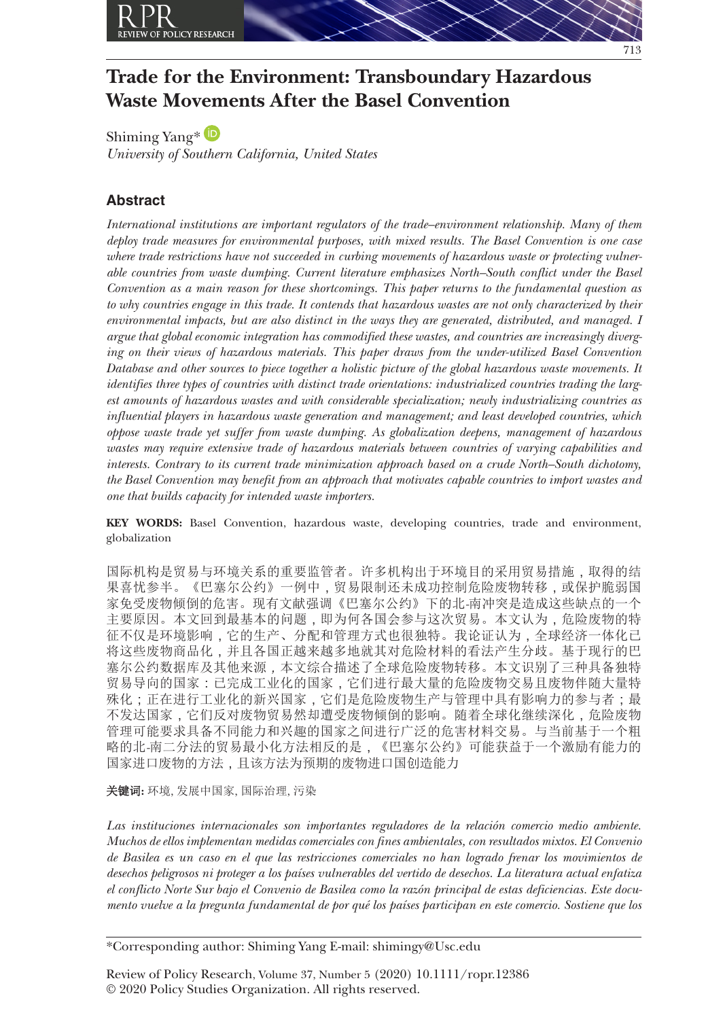

# **Trade for the Environment: Transboundary Hazardous Waste Movements After the Basel Convention**

Shiming Yang[\\*](https://orcid.org/0000-0002-3473-6775) *University of Southern California, United States*

# **Abstract**

*International institutions are important regulators of the trade–environment relationship. Many of them deploy trade measures for environmental purposes, with mixed results. The Basel Convention is one case where trade restrictions have not succeeded in curbing movements of hazardous waste or protecting vulnerable countries from waste dumping. Current literature emphasizes North–South conflict under the Basel Convention as a main reason for these shortcomings. This paper returns to the fundamental question as to why countries engage in this trade. It contends that hazardous wastes are not only characterized by their environmental impacts, but are also distinct in the ways they are generated, distributed, and managed. I argue that global economic integration has commodified these wastes, and countries are increasingly diverging on their views of hazardous materials. This paper draws from the under-utilized Basel Convention Database and other sources to piece together a holistic picture of the global hazardous waste movements. It identifies three types of countries with distinct trade orientations: industrialized countries trading the largest amounts of hazardous wastes and with considerable specialization; newly industrializing countries as influential players in hazardous waste generation and management; and least developed countries, which oppose waste trade yet suffer from waste dumping. As globalization deepens, management of hazardous wastes may require extensive trade of hazardous materials between countries of varying capabilities and interests. Contrary to its current trade minimization approach based on a crude North–South dichotomy, the Basel Convention may benefit from an approach that motivates capable countries to import wastes and one that builds capacity for intended waste importers.*

**KEY WORDS:** Basel Convention, hazardous waste, developing countries, trade and environment, globalization

国际机构是贸易与环境关系的重要监管者。许多机构出于环境目的采用贸易措施,取得的结 果喜忧参半。《巴塞尔公约》一例中,贸易限制还未成功控制危险废物转移,或保护脆弱国 家免受废物倾倒的危害。现有文献强调《巴塞尔公约》下的北*-*南冲突是造成这些缺点的一个 主要原因。本文回到最基本的问题,即为何各国会参与这次贸易。本文认为,危险废物的特 征不仅是环境影响,它的生产、分配和管理方式也很独特。我论证认为,全球经济一体化已 将这些废物商品化,并且各国正越来越多地就其对危险材料的看法产生分歧。基于现行的巴 塞尔公约数据库及其他来源*,*本文综合描述了全球危险废物转移。本文识别了三种具备独特 贸易导向的国家:已完成工业化的国家,它们进行最大量的危险废物交易且废物伴随大量特 殊化;正在进行工业化的新兴国家,它们是危险废物生产与管理中具有影响力的参与者;最 不发达国家,它们反对废物贸易然却遭受废物倾倒的影响。随着全球化继续深化,危险废物 管理可能要求具备不同能力和兴趣的国家之间进行广泛的危害材料交易。与当前基于一个粗 略的北*-*南二分法的贸易最小化方法相反的是,《巴塞尔公约》可能获益于一个激励有能力的 国家进口废物的方法,且该方法为预期的废物进口国创造能力

关键词**:** 环境, 发展中国家, 国际治理, 污染

*Las instituciones internacionales son importantes reguladores de la relación comercio medio ambiente. Muchos de ellos implementan medidas comerciales con fines ambientales, con resultados mixtos. El Convenio de Basilea es un caso en el que las restricciones comerciales no han logrado frenar los movimientos de desechos peligrosos ni proteger a los países vulnerables del vertido de desechos. La literatura actual enfatiza el conflicto Norte Sur bajo el Convenio de Basilea como la razón principal de estas deficiencias. Este documento vuelve a la pregunta fundamental de por qué los países participan en este comercio. Sostiene que los* 

\*Corresponding author: Shiming Yang E-mail: shimingy@Usc.edu

Review of Policy Research, Volume 37, Number 5 (2020) 10.1111/ropr.12386 © 2020 Policy Studies Organization. All rights reserved.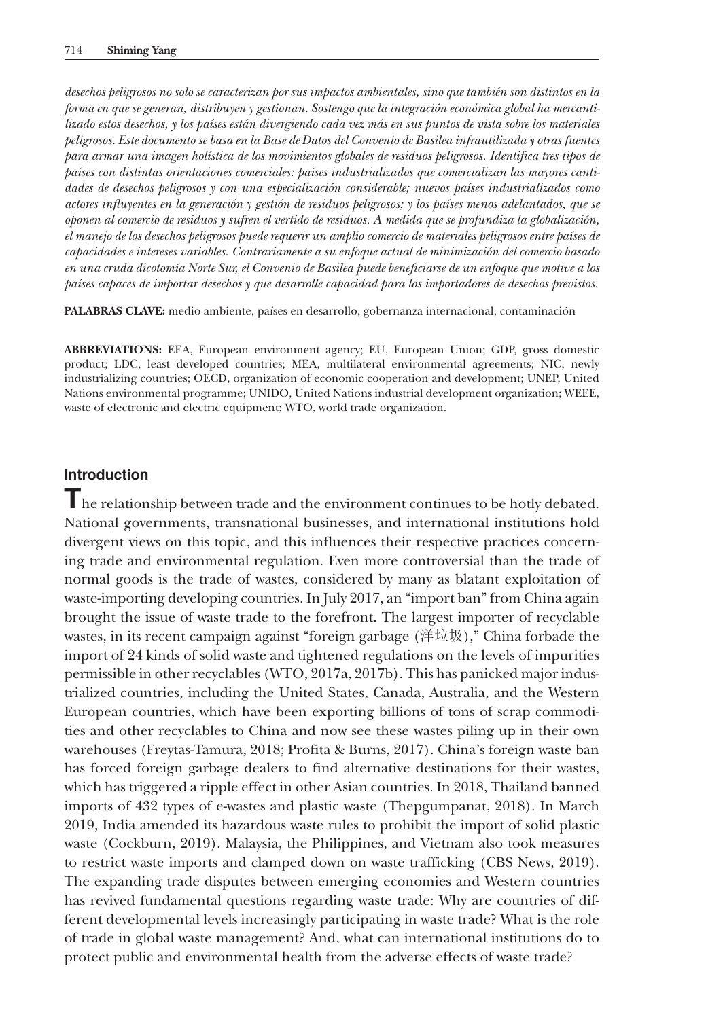*desechos peligrosos no solo se caracterizan por sus impactos ambientales, sino que también son distintos en la forma en que se generan, distribuyen y gestionan. Sostengo que la integración económica global ha mercantilizado estos desechos, y los países están divergiendo cada vez más en sus puntos de vista sobre los materiales peligrosos. Este documento se basa en la Base de Datos del Convenio de Basilea infrautilizada y otras fuentes para armar una imagen holística de los movimientos globales de residuos peligrosos. Identifica tres tipos de países con distintas orientaciones comerciales: países industrializados que comercializan las mayores cantidades de desechos peligrosos y con una especialización considerable; nuevos países industrializados como actores influyentes en la generación y gestión de residuos peligrosos; y los países menos adelantados, que se oponen al comercio de residuos y sufren el vertido de residuos. A medida que se profundiza la globalización, el manejo de los desechos peligrosos puede requerir un amplio comercio de materiales peligrosos entre países de capacidades e intereses variables. Contrariamente a su enfoque actual de minimización del comercio basado en una cruda dicotomía Norte Sur, el Convenio de Basilea puede beneficiarse de un enfoque que motive a los países capaces de importar desechos y que desarrolle capacidad para los importadores de desechos previstos.*

**PALABRAS CLAVE:** medio ambiente, países en desarrollo, gobernanza internacional, contaminación

**ABBREVIATIONS:** EEA, European environment agency; EU, European Union; GDP, gross domestic product; LDC, least developed countries; MEA, multilateral environmental agreements; NIC, newly industrializing countries; OECD, organization of economic cooperation and development; UNEP, United Nations environmental programme; UNIDO, United Nations industrial development organization; WEEE, waste of electronic and electric equipment; WTO, world trade organization.

# **Introduction**

**T**he relationship between trade and the environment continues to be hotly debated. National governments, transnational businesses, and international institutions hold divergent views on this topic, and this influences their respective practices concerning trade and environmental regulation. Even more controversial than the trade of normal goods is the trade of wastes, considered by many as blatant exploitation of waste-importing developing countries. In July 2017, an "import ban" from China again brought the issue of waste trade to the forefront. The largest importer of recyclable wastes, in its recent campaign against "foreign garbage (洋垃圾)," China forbade the import of 24 kinds of solid waste and tightened regulations on the levels of impurities permissible in other recyclables (WTO, 2017a, 2017b). This has panicked major industrialized countries, including the United States, Canada, Australia, and the Western European countries, which have been exporting billions of tons of scrap commodities and other recyclables to China and now see these wastes piling up in their own warehouses (Freytas-Tamura, 2018; Profita & Burns, 2017). China's foreign waste ban has forced foreign garbage dealers to find alternative destinations for their wastes, which has triggered a ripple effect in other Asian countries. In 2018, Thailand banned imports of 432 types of e-wastes and plastic waste (Thepgumpanat, 2018). In March 2019, India amended its hazardous waste rules to prohibit the import of solid plastic waste (Cockburn, 2019). Malaysia, the Philippines, and Vietnam also took measures to restrict waste imports and clamped down on waste trafficking (CBS News, 2019). The expanding trade disputes between emerging economies and Western countries has revived fundamental questions regarding waste trade: Why are countries of different developmental levels increasingly participating in waste trade? What is the role of trade in global waste management? And, what can international institutions do to protect public and environmental health from the adverse effects of waste trade?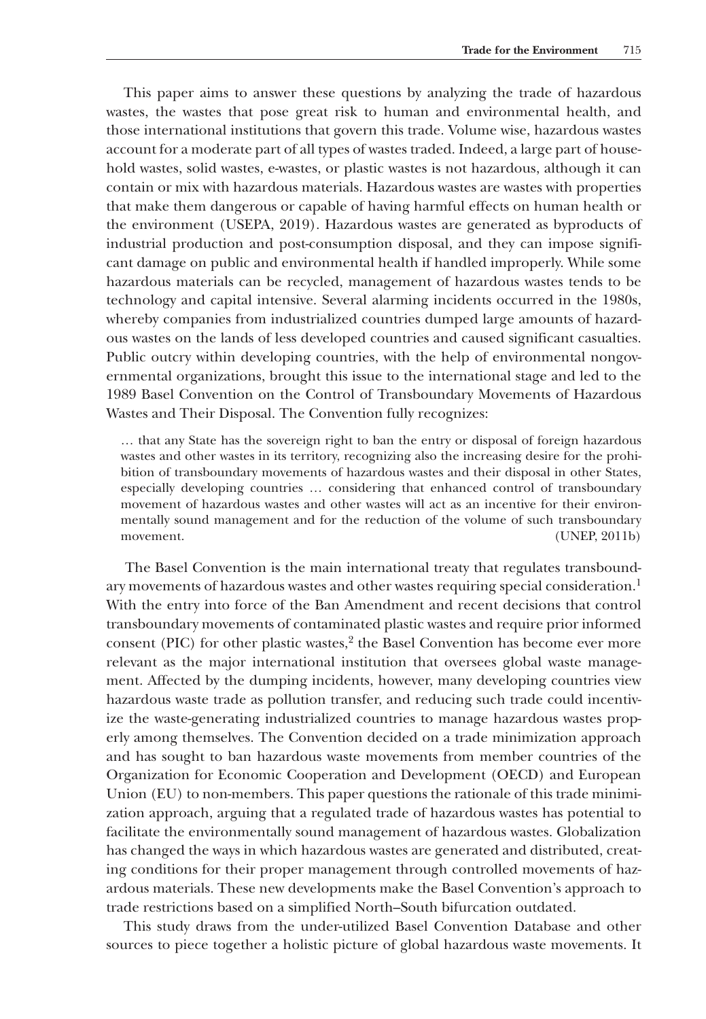This paper aims to answer these questions by analyzing the trade of hazardous wastes, the wastes that pose great risk to human and environmental health, and those international institutions that govern this trade. Volume wise, hazardous wastes account for a moderate part of all types of wastes traded. Indeed, a large part of household wastes, solid wastes, e-wastes, or plastic wastes is not hazardous, although it can contain or mix with hazardous materials. Hazardous wastes are wastes with properties that make them dangerous or capable of having harmful effects on human health or the environment (USEPA, 2019). Hazardous wastes are generated as byproducts of industrial production and post-consumption disposal, and they can impose significant damage on public and environmental health if handled improperly. While some hazardous materials can be recycled, management of hazardous wastes tends to be technology and capital intensive. Several alarming incidents occurred in the 1980s, whereby companies from industrialized countries dumped large amounts of hazardous wastes on the lands of less developed countries and caused significant casualties. Public outcry within developing countries, with the help of environmental nongovernmental organizations, brought this issue to the international stage and led to the 1989 Basel Convention on the Control of Transboundary Movements of Hazardous Wastes and Their Disposal. The Convention fully recognizes:

… that any State has the sovereign right to ban the entry or disposal of foreign hazardous wastes and other wastes in its territory, recognizing also the increasing desire for the prohibition of transboundary movements of hazardous wastes and their disposal in other States, especially developing countries … considering that enhanced control of transboundary movement of hazardous wastes and other wastes will act as an incentive for their environmentally sound management and for the reduction of the volume of such transboundary movement. (UNEP, 2011b)

The Basel Convention is the main international treaty that regulates transboundary movements of hazardous wastes and other wastes requiring special consideration.<sup>1</sup> With the entry into force of the Ban Amendment and recent decisions that control transboundary movements of contaminated plastic wastes and require prior informed consent (PIC) for other plastic wastes, $\frac{2}{3}$  the Basel Convention has become ever more relevant as the major international institution that oversees global waste management. Affected by the dumping incidents, however, many developing countries view hazardous waste trade as pollution transfer, and reducing such trade could incentivize the waste-generating industrialized countries to manage hazardous wastes properly among themselves. The Convention decided on a trade minimization approach and has sought to ban hazardous waste movements from member countries of the Organization for Economic Cooperation and Development (OECD) and European Union (EU) to non-members. This paper questions the rationale of this trade minimization approach, arguing that a regulated trade of hazardous wastes has potential to facilitate the environmentally sound management of hazardous wastes. Globalization has changed the ways in which hazardous wastes are generated and distributed, creating conditions for their proper management through controlled movements of hazardous materials. These new developments make the Basel Convention's approach to trade restrictions based on a simplified North–South bifurcation outdated.

This study draws from the under-utilized Basel Convention Database and other sources to piece together a holistic picture of global hazardous waste movements. It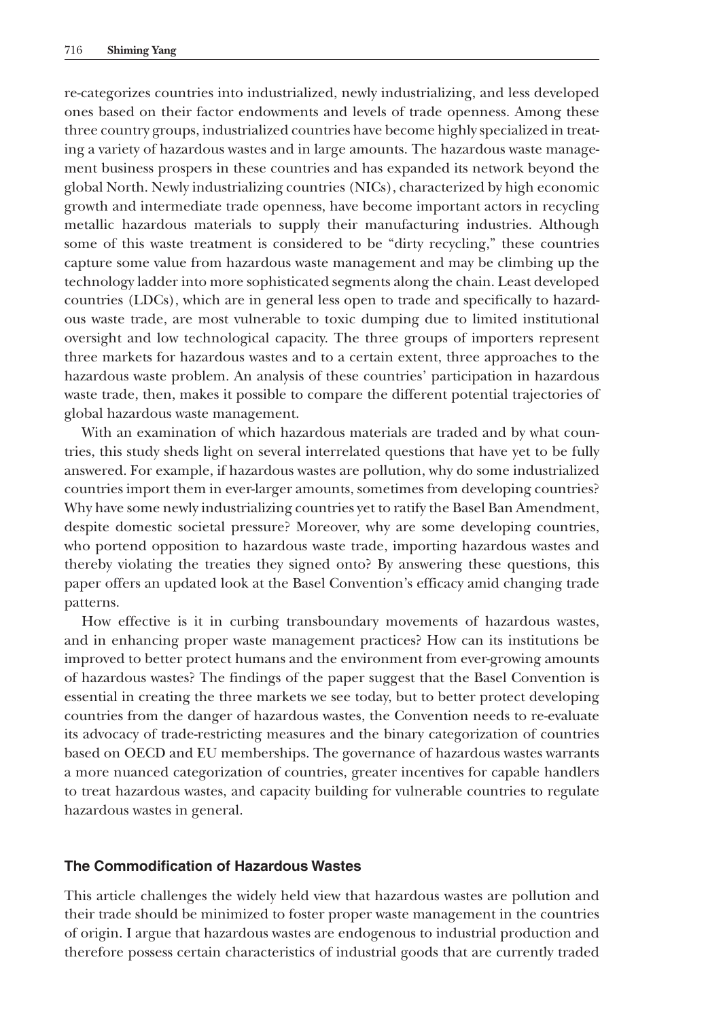re-categorizes countries into industrialized, newly industrializing, and less developed ones based on their factor endowments and levels of trade openness. Among these three country groups, industrialized countries have become highly specialized in treating a variety of hazardous wastes and in large amounts. The hazardous waste management business prospers in these countries and has expanded its network beyond the global North. Newly industrializing countries (NICs), characterized by high economic growth and intermediate trade openness, have become important actors in recycling metallic hazardous materials to supply their manufacturing industries. Although some of this waste treatment is considered to be "dirty recycling," these countries capture some value from hazardous waste management and may be climbing up the technology ladder into more sophisticated segments along the chain. Least developed countries (LDCs), which are in general less open to trade and specifically to hazardous waste trade, are most vulnerable to toxic dumping due to limited institutional oversight and low technological capacity. The three groups of importers represent three markets for hazardous wastes and to a certain extent, three approaches to the hazardous waste problem. An analysis of these countries' participation in hazardous waste trade, then, makes it possible to compare the different potential trajectories of global hazardous waste management.

With an examination of which hazardous materials are traded and by what countries, this study sheds light on several interrelated questions that have yet to be fully answered. For example, if hazardous wastes are pollution, why do some industrialized countries import them in ever-larger amounts, sometimes from developing countries? Why have some newly industrializing countries yet to ratify the Basel Ban Amendment, despite domestic societal pressure? Moreover, why are some developing countries, who portend opposition to hazardous waste trade, importing hazardous wastes and thereby violating the treaties they signed onto? By answering these questions, this paper offers an updated look at the Basel Convention's efficacy amid changing trade patterns.

How effective is it in curbing transboundary movements of hazardous wastes, and in enhancing proper waste management practices? How can its institutions be improved to better protect humans and the environment from ever-growing amounts of hazardous wastes? The findings of the paper suggest that the Basel Convention is essential in creating the three markets we see today, but to better protect developing countries from the danger of hazardous wastes, the Convention needs to re-evaluate its advocacy of trade-restricting measures and the binary categorization of countries based on OECD and EU memberships. The governance of hazardous wastes warrants a more nuanced categorization of countries, greater incentives for capable handlers to treat hazardous wastes, and capacity building for vulnerable countries to regulate hazardous wastes in general.

# **The Commodification of Hazardous Wastes**

This article challenges the widely held view that hazardous wastes are pollution and their trade should be minimized to foster proper waste management in the countries of origin. I argue that hazardous wastes are endogenous to industrial production and therefore possess certain characteristics of industrial goods that are currently traded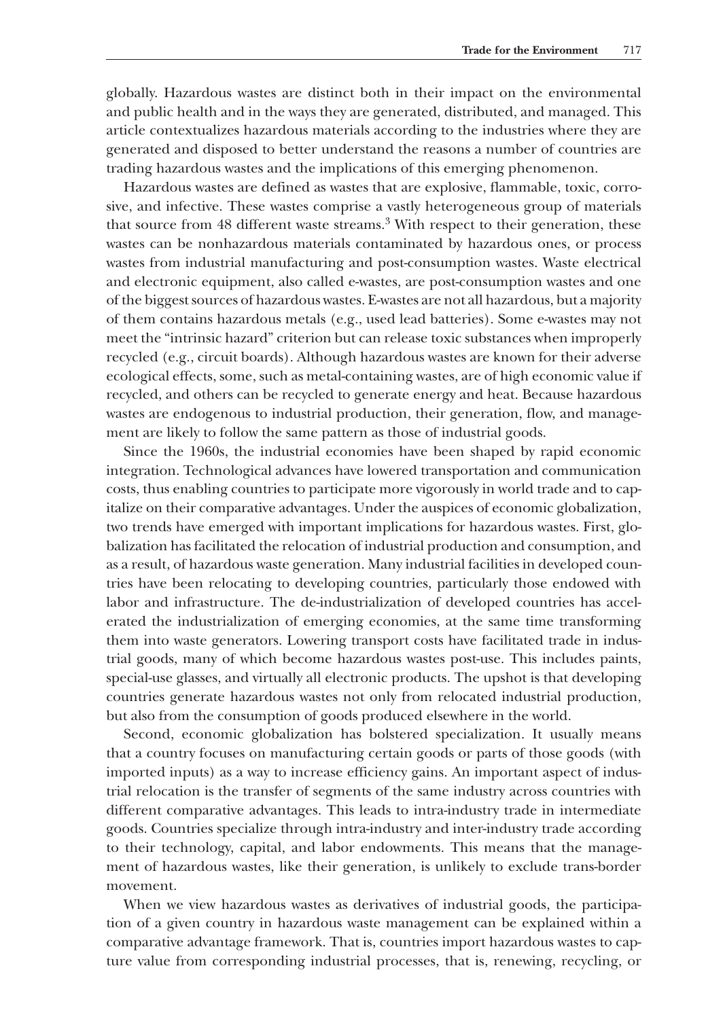globally. Hazardous wastes are distinct both in their impact on the environmental and public health and in the ways they are generated, distributed, and managed. This article contextualizes hazardous materials according to the industries where they are generated and disposed to better understand the reasons a number of countries are trading hazardous wastes and the implications of this emerging phenomenon.

Hazardous wastes are defined as wastes that are explosive, flammable, toxic, corrosive, and infective. These wastes comprise a vastly heterogeneous group of materials that source from 48 different waste streams.3 With respect to their generation, these wastes can be nonhazardous materials contaminated by hazardous ones, or process wastes from industrial manufacturing and post-consumption wastes. Waste electrical and electronic equipment, also called e-wastes, are post-consumption wastes and one of the biggest sources of hazardous wastes. E-wastes are not all hazardous, but a majority of them contains hazardous metals (e.g., used lead batteries). Some e-wastes may not meet the "intrinsic hazard" criterion but can release toxic substances when improperly recycled (e.g., circuit boards). Although hazardous wastes are known for their adverse ecological effects, some, such as metal-containing wastes, are of high economic value if recycled, and others can be recycled to generate energy and heat. Because hazardous wastes are endogenous to industrial production, their generation, flow, and management are likely to follow the same pattern as those of industrial goods.

Since the 1960s, the industrial economies have been shaped by rapid economic integration. Technological advances have lowered transportation and communication costs, thus enabling countries to participate more vigorously in world trade and to capitalize on their comparative advantages. Under the auspices of economic globalization, two trends have emerged with important implications for hazardous wastes. First, globalization has facilitated the relocation of industrial production and consumption, and as a result, of hazardous waste generation. Many industrial facilities in developed countries have been relocating to developing countries, particularly those endowed with labor and infrastructure. The de-industrialization of developed countries has accelerated the industrialization of emerging economies, at the same time transforming them into waste generators. Lowering transport costs have facilitated trade in industrial goods, many of which become hazardous wastes post-use. This includes paints, special-use glasses, and virtually all electronic products. The upshot is that developing countries generate hazardous wastes not only from relocated industrial production, but also from the consumption of goods produced elsewhere in the world.

Second, economic globalization has bolstered specialization. It usually means that a country focuses on manufacturing certain goods or parts of those goods (with imported inputs) as a way to increase efficiency gains. An important aspect of industrial relocation is the transfer of segments of the same industry across countries with different comparative advantages. This leads to intra-industry trade in intermediate goods. Countries specialize through intra-industry and inter-industry trade according to their technology, capital, and labor endowments. This means that the management of hazardous wastes, like their generation, is unlikely to exclude trans-border movement.

When we view hazardous wastes as derivatives of industrial goods, the participation of a given country in hazardous waste management can be explained within a comparative advantage framework. That is, countries import hazardous wastes to capture value from corresponding industrial processes, that is, renewing, recycling, or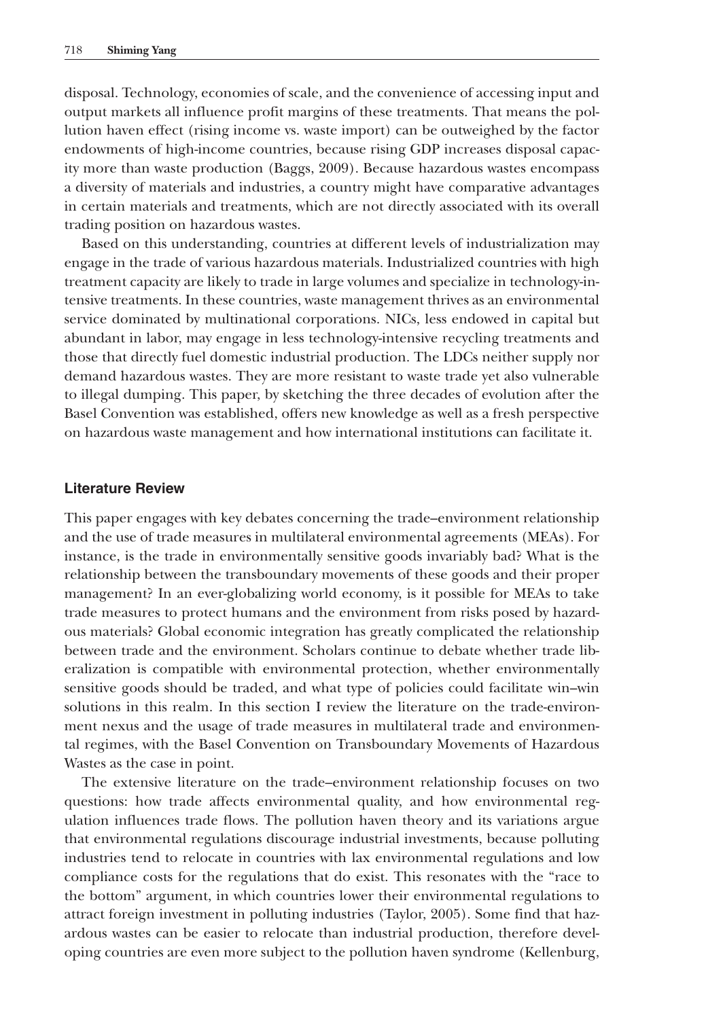disposal. Technology, economies of scale, and the convenience of accessing input and output markets all influence profit margins of these treatments. That means the pollution haven effect (rising income vs. waste import) can be outweighed by the factor endowments of high-income countries, because rising GDP increases disposal capacity more than waste production (Baggs, 2009). Because hazardous wastes encompass a diversity of materials and industries, a country might have comparative advantages in certain materials and treatments, which are not directly associated with its overall trading position on hazardous wastes.

Based on this understanding, countries at different levels of industrialization may engage in the trade of various hazardous materials. Industrialized countries with high treatment capacity are likely to trade in large volumes and specialize in technology-intensive treatments. In these countries, waste management thrives as an environmental service dominated by multinational corporations. NICs, less endowed in capital but abundant in labor, may engage in less technology-intensive recycling treatments and those that directly fuel domestic industrial production. The LDCs neither supply nor demand hazardous wastes. They are more resistant to waste trade yet also vulnerable to illegal dumping. This paper, by sketching the three decades of evolution after the Basel Convention was established, offers new knowledge as well as a fresh perspective on hazardous waste management and how international institutions can facilitate it.

# **Literature Review**

This paper engages with key debates concerning the trade–environment relationship and the use of trade measures in multilateral environmental agreements (MEAs). For instance, is the trade in environmentally sensitive goods invariably bad? What is the relationship between the transboundary movements of these goods and their proper management? In an ever-globalizing world economy, is it possible for MEAs to take trade measures to protect humans and the environment from risks posed by hazardous materials? Global economic integration has greatly complicated the relationship between trade and the environment. Scholars continue to debate whether trade liberalization is compatible with environmental protection, whether environmentally sensitive goods should be traded, and what type of policies could facilitate win–win solutions in this realm. In this section I review the literature on the trade-environment nexus and the usage of trade measures in multilateral trade and environmental regimes, with the Basel Convention on Transboundary Movements of Hazardous Wastes as the case in point.

The extensive literature on the trade–environment relationship focuses on two questions: how trade affects environmental quality, and how environmental regulation influences trade flows. The pollution haven theory and its variations argue that environmental regulations discourage industrial investments, because polluting industries tend to relocate in countries with lax environmental regulations and low compliance costs for the regulations that do exist. This resonates with the "race to the bottom" argument, in which countries lower their environmental regulations to attract foreign investment in polluting industries (Taylor, 2005). Some find that hazardous wastes can be easier to relocate than industrial production, therefore developing countries are even more subject to the pollution haven syndrome (Kellenburg,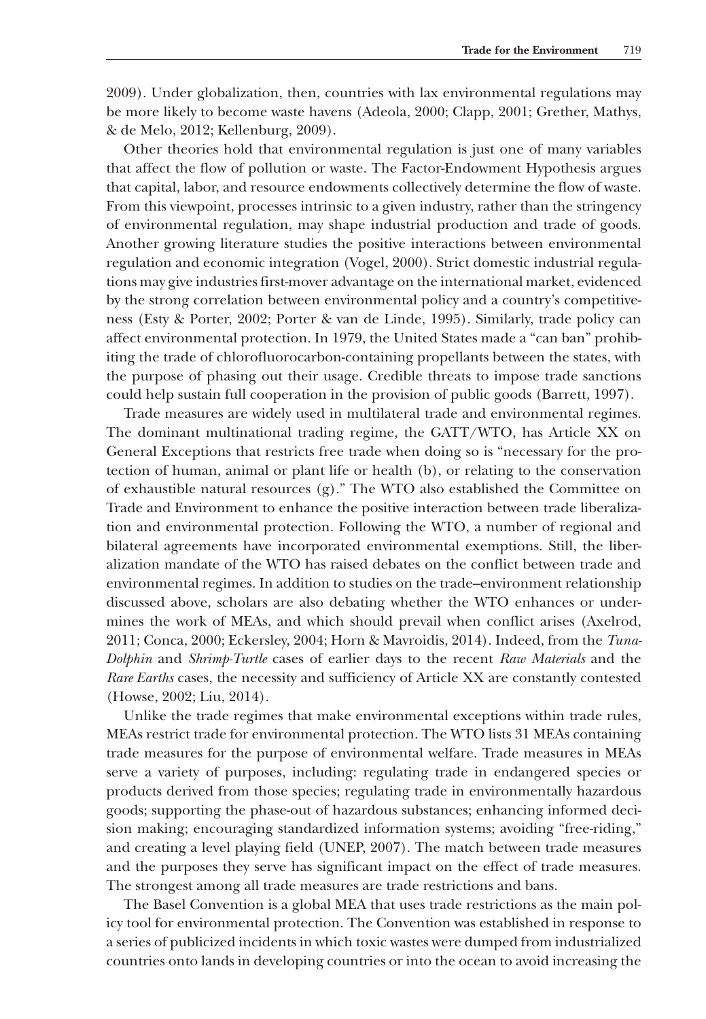2009). Under globalization, then, countries with lax environmental regulations may be more likely to become waste havens (Adeola, 2000; Clapp, 2001; Grether, Mathys, & de Melo, 2012; Kellenburg, 2009).

Other theories hold that environmental regulation is just one of many variables that affect the flow of pollution or waste. The Factor-Endowment Hypothesis argues that capital, labor, and resource endowments collectively determine the flow of waste. From this viewpoint, processes intrinsic to a given industry, rather than the stringency of environmental regulation, may shape industrial production and trade of goods. Another growing literature studies the positive interactions between environmental regulation and economic integration (Vogel, 2000). Strict domestic industrial regulations may give industries first-mover advantage on the international market, evidenced by the strong correlation between environmental policy and a country's competitiveness (Esty & Porter, 2002; Porter & van de Linde, 1995). Similarly, trade policy can affect environmental protection. In 1979, the United States made a "can ban" prohibiting the trade of chlorofluorocarbon-containing propellants between the states, with the purpose of phasing out their usage. Credible threats to impose trade sanctions could help sustain full cooperation in the provision of public goods (Barrett, 1997).

Trade measures are widely used in multilateral trade and environmental regimes. The dominant multinational trading regime, the GATT/WTO, has Article XX on General Exceptions that restricts free trade when doing so is "necessary for the protection of human, animal or plant life or health (b), or relating to the conservation of exhaustible natural resources  $(g)$ ." The WTO also established the Committee on Trade and Environment to enhance the positive interaction between trade liberalization and environmental protection. Following the WTO, a number of regional and bilateral agreements have incorporated environmental exemptions. Still, the liberalization mandate of the WTO has raised debates on the conflict between trade and environmental regimes. In addition to studies on the trade–environment relationship discussed above, scholars are also debating whether the WTO enhances or undermines the work of MEAs, and which should prevail when conflict arises (Axelrod, 2011; Conca, 2000; Eckersley, 2004; Horn & Mavroidis, 2014). Indeed, from the *Tuna-Dolphin* and *Shrimp-Turtle* cases of earlier days to the recent *Raw Materials* and the *Rare Earths* cases, the necessity and sufficiency of Article XX are constantly contested (Howse, 2002; Liu, 2014).

Unlike the trade regimes that make environmental exceptions within trade rules, MEAs restrict trade for environmental protection. The WTO lists 31 MEAs containing trade measures for the purpose of environmental welfare. Trade measures in MEAs serve a variety of purposes, including: regulating trade in endangered species or products derived from those species; regulating trade in environmentally hazardous goods; supporting the phase-out of hazardous substances; enhancing informed decision making; encouraging standardized information systems; avoiding "free-riding," and creating a level playing field (UNEP, 2007). The match between trade measures and the purposes they serve has significant impact on the effect of trade measures. The strongest among all trade measures are trade restrictions and bans.

The Basel Convention is a global MEA that uses trade restrictions as the main policy tool for environmental protection. The Convention was established in response to a series of publicized incidents in which toxic wastes were dumped from industrialized countries onto lands in developing countries or into the ocean to avoid increasing the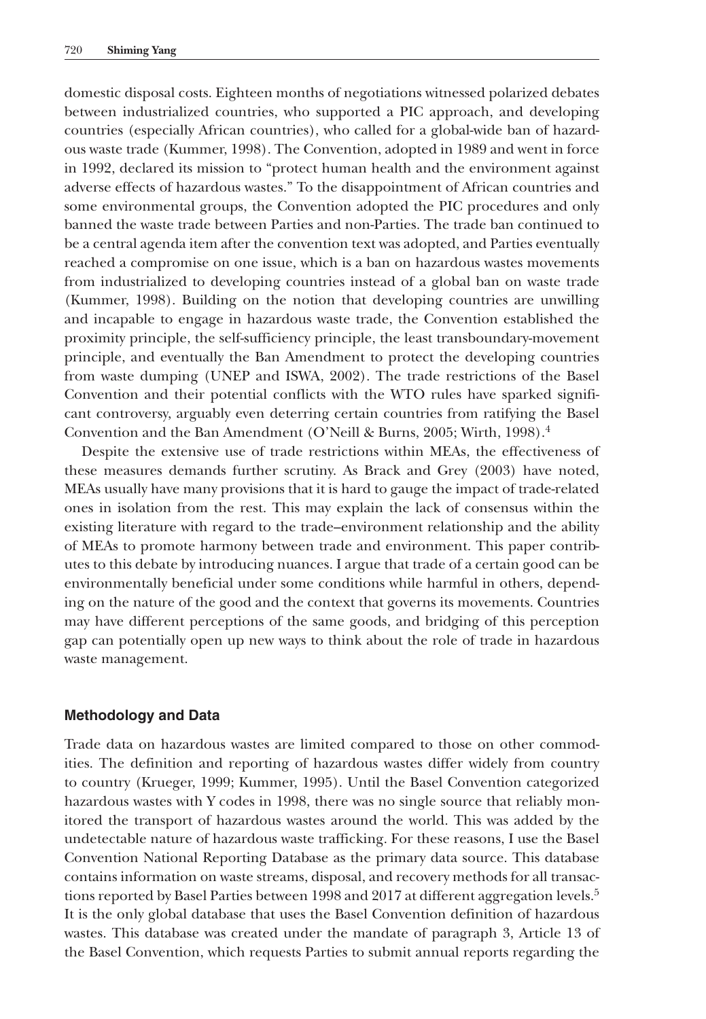domestic disposal costs. Eighteen months of negotiations witnessed polarized debates between industrialized countries, who supported a PIC approach, and developing countries (especially African countries), who called for a global-wide ban of hazardous waste trade (Kummer, 1998). The Convention, adopted in 1989 and went in force in 1992, declared its mission to "protect human health and the environment against adverse effects of hazardous wastes." To the disappointment of African countries and some environmental groups, the Convention adopted the PIC procedures and only banned the waste trade between Parties and non-Parties. The trade ban continued to be a central agenda item after the convention text was adopted, and Parties eventually reached a compromise on one issue, which is a ban on hazardous wastes movements from industrialized to developing countries instead of a global ban on waste trade (Kummer, 1998). Building on the notion that developing countries are unwilling and incapable to engage in hazardous waste trade, the Convention established the proximity principle, the self-sufficiency principle, the least transboundary-movement principle, and eventually the Ban Amendment to protect the developing countries from waste dumping (UNEP and ISWA, 2002). The trade restrictions of the Basel Convention and their potential conflicts with the WTO rules have sparked significant controversy, arguably even deterring certain countries from ratifying the Basel Convention and the Ban Amendment (O'Neill & Burns, 2005; Wirth, 1998).4

Despite the extensive use of trade restrictions within MEAs, the effectiveness of these measures demands further scrutiny. As Brack and Grey (2003) have noted, MEAs usually have many provisions that it is hard to gauge the impact of trade-related ones in isolation from the rest. This may explain the lack of consensus within the existing literature with regard to the trade–environment relationship and the ability of MEAs to promote harmony between trade and environment. This paper contributes to this debate by introducing nuances. I argue that trade of a certain good can be environmentally beneficial under some conditions while harmful in others, depending on the nature of the good and the context that governs its movements. Countries may have different perceptions of the same goods, and bridging of this perception gap can potentially open up new ways to think about the role of trade in hazardous waste management.

# **Methodology and Data**

Trade data on hazardous wastes are limited compared to those on other commodities. The definition and reporting of hazardous wastes differ widely from country to country (Krueger, 1999; Kummer, 1995). Until the Basel Convention categorized hazardous wastes with Y codes in 1998, there was no single source that reliably monitored the transport of hazardous wastes around the world. This was added by the undetectable nature of hazardous waste trafficking. For these reasons, I use the Basel Convention National Reporting Database as the primary data source. This database contains information on waste streams, disposal, and recovery methods for all transactions reported by Basel Parties between 1998 and 2017 at different aggregation levels.<sup>5</sup> It is the only global database that uses the Basel Convention definition of hazardous wastes. This database was created under the mandate of paragraph 3, Article 13 of the Basel Convention, which requests Parties to submit annual reports regarding the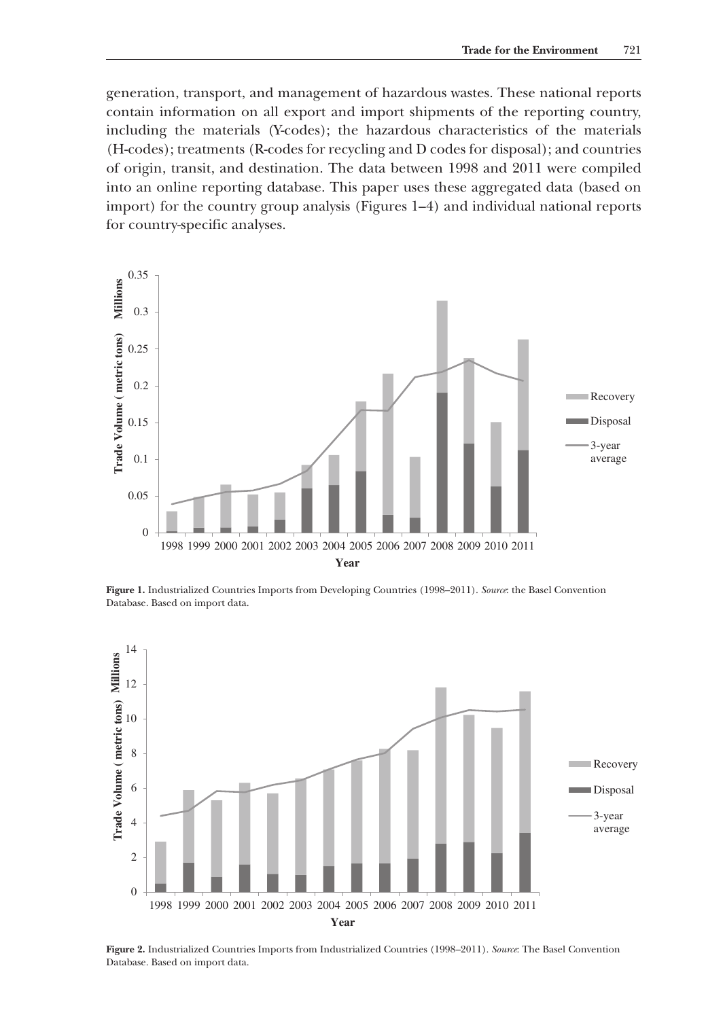generation, transport, and management of hazardous wastes. These national reports contain information on all export and import shipments of the reporting country, including the materials (Y-codes); the hazardous characteristics of the materials (H-codes); treatments (R-codes for recycling and D codes for disposal); and countries of origin, transit, and destination. The data between 1998 and 2011 were compiled into an online reporting database. This paper uses these aggregated data (based on import) for the country group analysis (Figures 1–4) and individual national reports for country-specific analyses.



**Figure 1.** Industrialized Countries Imports from Developing Countries (1998–2011). *Source*: the Basel Convention Database. Based on import data.



**Figure 2.** Industrialized Countries Imports from Industrialized Countries (1998–2011). *Source*: The Basel Convention Database. Based on import data.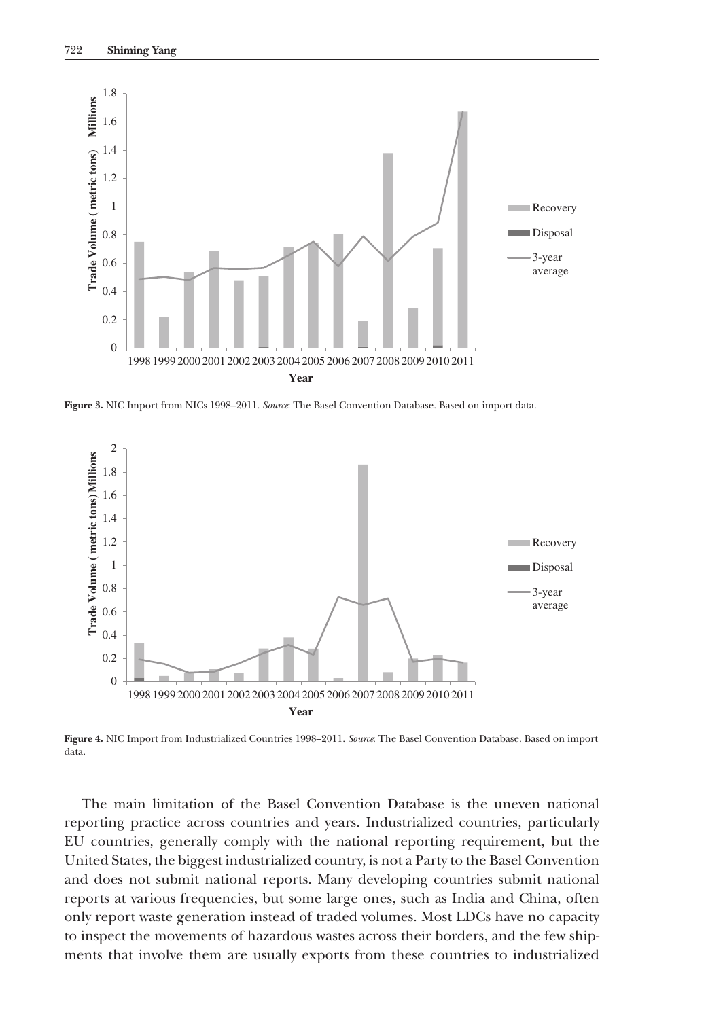

**Figure 3.** NIC Import from NICs 1998–2011. *Source*: The Basel Convention Database. Based on import data.



**Figure 4.** NIC Import from Industrialized Countries 1998–2011. *Source*: The Basel Convention Database. Based on import data.

The main limitation of the Basel Convention Database is the uneven national reporting practice across countries and years. Industrialized countries, particularly EU countries, generally comply with the national reporting requirement, but the United States, the biggest industrialized country, is not a Party to the Basel Convention and does not submit national reports. Many developing countries submit national reports at various frequencies, but some large ones, such as India and China, often only report waste generation instead of traded volumes. Most LDCs have no capacity to inspect the movements of hazardous wastes across their borders, and the few shipments that involve them are usually exports from these countries to industrialized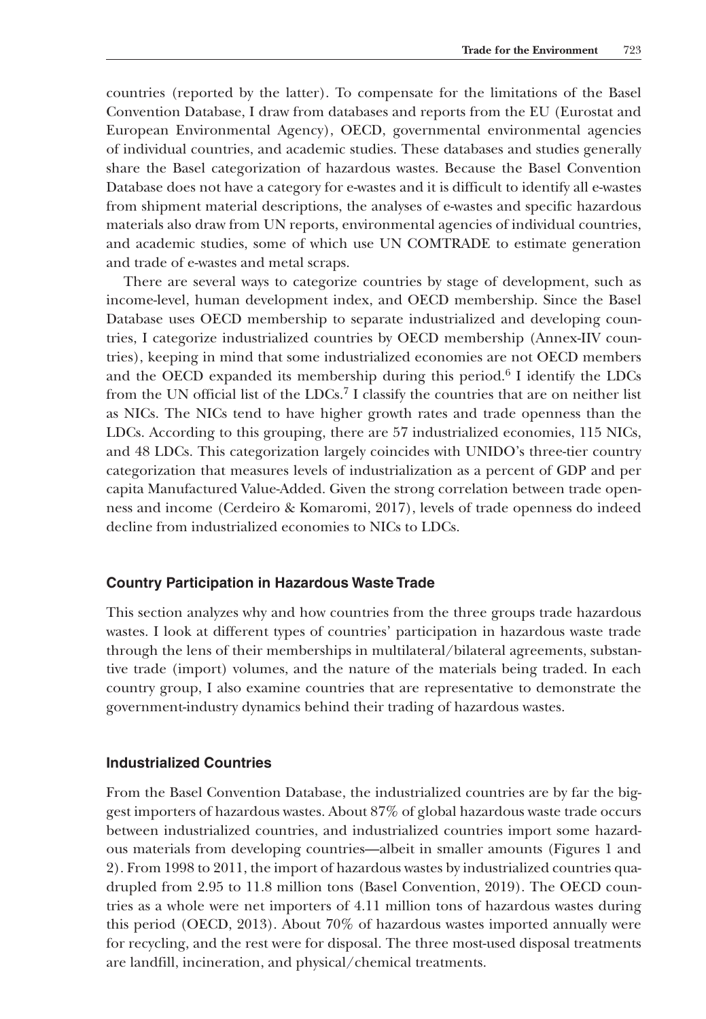countries (reported by the latter). To compensate for the limitations of the Basel Convention Database, I draw from databases and reports from the EU (Eurostat and European Environmental Agency), OECD, governmental environmental agencies of individual countries, and academic studies. These databases and studies generally share the Basel categorization of hazardous wastes. Because the Basel Convention Database does not have a category for e-wastes and it is difficult to identify all e-wastes from shipment material descriptions, the analyses of e-wastes and specific hazardous materials also draw from UN reports, environmental agencies of individual countries, and academic studies, some of which use UN COMTRADE to estimate generation and trade of e-wastes and metal scraps.

There are several ways to categorize countries by stage of development, such as income-level, human development index, and OECD membership. Since the Basel Database uses OECD membership to separate industrialized and developing countries, I categorize industrialized countries by OECD membership (Annex-IIV countries), keeping in mind that some industrialized economies are not OECD members and the OECD expanded its membership during this period.<sup>6</sup> I identify the LDCs from the UN official list of the LDCs.7 I classify the countries that are on neither list as NICs. The NICs tend to have higher growth rates and trade openness than the LDCs. According to this grouping, there are 57 industrialized economies, 115 NICs, and 48 LDCs. This categorization largely coincides with UNIDO's three-tier country categorization that measures levels of industrialization as a percent of GDP and per capita Manufactured Value-Added. Given the strong correlation between trade openness and income (Cerdeiro & Komaromi, 2017), levels of trade openness do indeed decline from industrialized economies to NICs to LDCs.

# **Country Participation in Hazardous Waste Trade**

This section analyzes why and how countries from the three groups trade hazardous wastes. I look at different types of countries' participation in hazardous waste trade through the lens of their memberships in multilateral/bilateral agreements, substantive trade (import) volumes, and the nature of the materials being traded. In each country group, I also examine countries that are representative to demonstrate the government-industry dynamics behind their trading of hazardous wastes.

#### **Industrialized Countries**

From the Basel Convention Database, the industrialized countries are by far the biggest importers of hazardous wastes. About 87% of global hazardous waste trade occurs between industrialized countries, and industrialized countries import some hazardous materials from developing countries—albeit in smaller amounts (Figures 1 and 2). From 1998 to 2011, the import of hazardous wastes by industrialized countries quadrupled from 2.95 to 11.8 million tons (Basel Convention, 2019). The OECD countries as a whole were net importers of 4.11 million tons of hazardous wastes during this period (OECD, 2013). About 70% of hazardous wastes imported annually were for recycling, and the rest were for disposal. The three most-used disposal treatments are landfill, incineration, and physical/chemical treatments.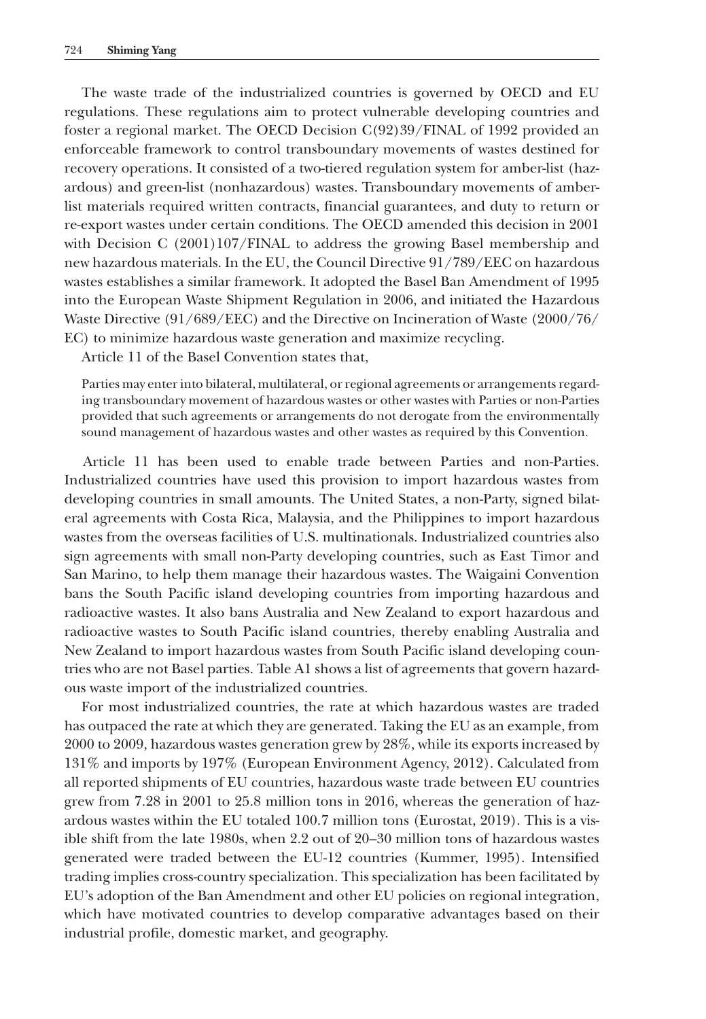The waste trade of the industrialized countries is governed by OECD and EU regulations. These regulations aim to protect vulnerable developing countries and foster a regional market. The OECD Decision C(92)39/FINAL of 1992 provided an enforceable framework to control transboundary movements of wastes destined for recovery operations. It consisted of a two-tiered regulation system for amber-list (hazardous) and green-list (nonhazardous) wastes. Transboundary movements of amberlist materials required written contracts, financial guarantees, and duty to return or re-export wastes under certain conditions. The OECD amended this decision in 2001 with Decision C (2001)107/FINAL to address the growing Basel membership and new hazardous materials. In the EU, the Council Directive 91/789/EEC on hazardous wastes establishes a similar framework. It adopted the Basel Ban Amendment of 1995 into the European Waste Shipment Regulation in 2006, and initiated the Hazardous Waste Directive (91/689/EEC) and the Directive on Incineration of Waste (2000/76/ EC) to minimize hazardous waste generation and maximize recycling.

Article 11 of the Basel Convention states that,

Parties may enter into bilateral, multilateral, or regional agreements or arrangements regarding transboundary movement of hazardous wastes or other wastes with Parties or non-Parties provided that such agreements or arrangements do not derogate from the environmentally sound management of hazardous wastes and other wastes as required by this Convention.

Article 11 has been used to enable trade between Parties and non-Parties. Industrialized countries have used this provision to import hazardous wastes from developing countries in small amounts. The United States, a non-Party, signed bilateral agreements with Costa Rica, Malaysia, and the Philippines to import hazardous wastes from the overseas facilities of U.S. multinationals. Industrialized countries also sign agreements with small non-Party developing countries, such as East Timor and San Marino, to help them manage their hazardous wastes. The Waigaini Convention bans the South Pacific island developing countries from importing hazardous and radioactive wastes. It also bans Australia and New Zealand to export hazardous and radioactive wastes to South Pacific island countries, thereby enabling Australia and New Zealand to import hazardous wastes from South Pacific island developing countries who are not Basel parties. Table A1 shows a list of agreements that govern hazardous waste import of the industrialized countries.

For most industrialized countries, the rate at which hazardous wastes are traded has outpaced the rate at which they are generated. Taking the EU as an example, from 2000 to 2009, hazardous wastes generation grew by 28%, while its exports increased by 131% and imports by 197% (European Environment Agency, 2012). Calculated from all reported shipments of EU countries, hazardous waste trade between EU countries grew from 7.28 in 2001 to 25.8 million tons in 2016, whereas the generation of hazardous wastes within the EU totaled 100.7 million tons (Eurostat, 2019). This is a visible shift from the late 1980s, when 2.2 out of 20–30 million tons of hazardous wastes generated were traded between the EU-12 countries (Kummer, 1995). Intensified trading implies cross-country specialization. This specialization has been facilitated by EU's adoption of the Ban Amendment and other EU policies on regional integration, which have motivated countries to develop comparative advantages based on their industrial profile, domestic market, and geography.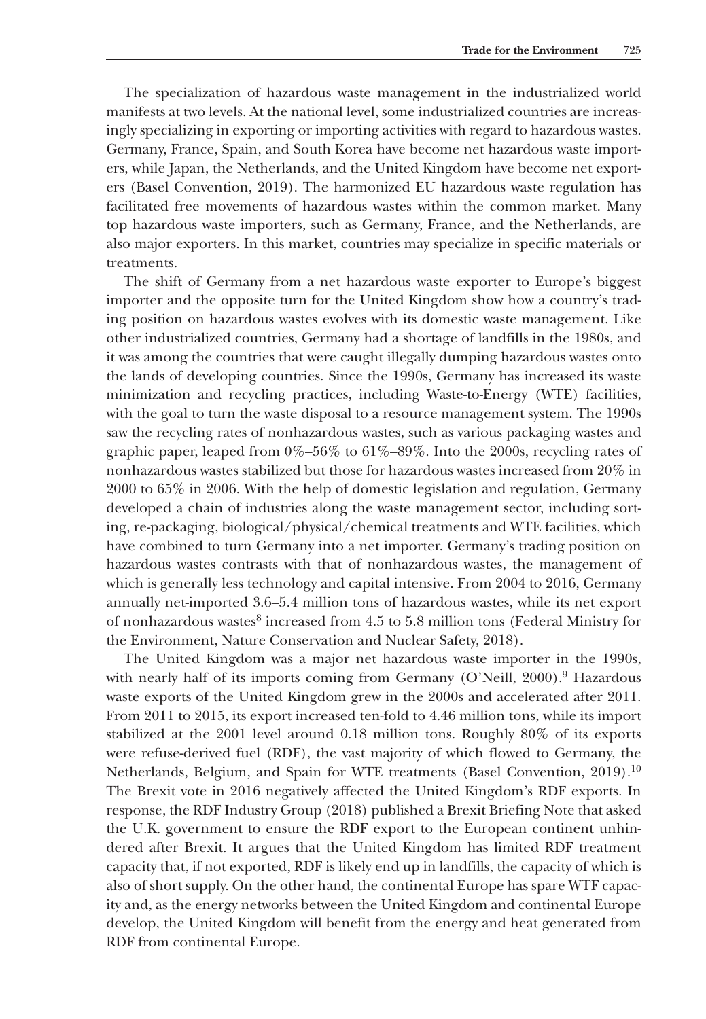The specialization of hazardous waste management in the industrialized world manifests at two levels. At the national level, some industrialized countries are increasingly specializing in exporting or importing activities with regard to hazardous wastes. Germany, France, Spain, and South Korea have become net hazardous waste importers, while Japan, the Netherlands, and the United Kingdom have become net exporters (Basel Convention, 2019). The harmonized EU hazardous waste regulation has facilitated free movements of hazardous wastes within the common market. Many top hazardous waste importers, such as Germany, France, and the Netherlands, are also major exporters. In this market, countries may specialize in specific materials or treatments.

The shift of Germany from a net hazardous waste exporter to Europe's biggest importer and the opposite turn for the United Kingdom show how a country's trading position on hazardous wastes evolves with its domestic waste management. Like other industrialized countries, Germany had a shortage of landfills in the 1980s, and it was among the countries that were caught illegally dumping hazardous wastes onto the lands of developing countries. Since the 1990s, Germany has increased its waste minimization and recycling practices, including Waste-to-Energy (WTE) facilities, with the goal to turn the waste disposal to a resource management system. The 1990s saw the recycling rates of nonhazardous wastes, such as various packaging wastes and graphic paper, leaped from 0%–56% to 61%–89%. Into the 2000s, recycling rates of nonhazardous wastes stabilized but those for hazardous wastes increased from 20% in 2000 to 65% in 2006. With the help of domestic legislation and regulation, Germany developed a chain of industries along the waste management sector, including sorting, re-packaging, biological/physical/chemical treatments and WTE facilities, which have combined to turn Germany into a net importer. Germany's trading position on hazardous wastes contrasts with that of nonhazardous wastes, the management of which is generally less technology and capital intensive. From 2004 to 2016, Germany annually net-imported 3.6–5.4 million tons of hazardous wastes, while its net export of nonhazardous wastes<sup>8</sup> increased from 4.5 to 5.8 million tons (Federal Ministry for the Environment, Nature Conservation and Nuclear Safety, 2018).

The United Kingdom was a major net hazardous waste importer in the 1990s, with nearly half of its imports coming from Germany (O'Neill, 2000).<sup>9</sup> Hazardous waste exports of the United Kingdom grew in the 2000s and accelerated after 2011. From 2011 to 2015, its export increased ten-fold to 4.46 million tons, while its import stabilized at the 2001 level around 0.18 million tons. Roughly 80% of its exports were refuse-derived fuel (RDF), the vast majority of which flowed to Germany, the Netherlands, Belgium, and Spain for WTE treatments (Basel Convention, 2019).<sup>10</sup> The Brexit vote in 2016 negatively affected the United Kingdom's RDF exports. In response, the RDF Industry Group (2018) published a Brexit Briefing Note that asked the U.K. government to ensure the RDF export to the European continent unhindered after Brexit. It argues that the United Kingdom has limited RDF treatment capacity that, if not exported, RDF is likely end up in landfills, the capacity of which is also of short supply. On the other hand, the continental Europe has spare WTF capacity and, as the energy networks between the United Kingdom and continental Europe develop, the United Kingdom will benefit from the energy and heat generated from RDF from continental Europe.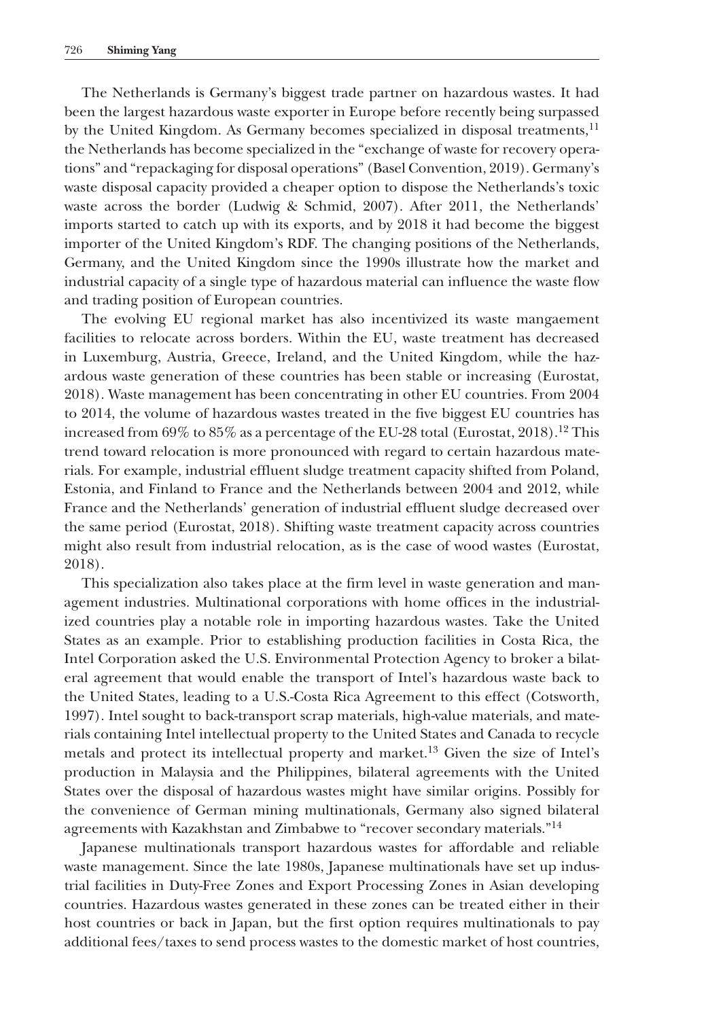The Netherlands is Germany's biggest trade partner on hazardous wastes. It had been the largest hazardous waste exporter in Europe before recently being surpassed by the United Kingdom. As Germany becomes specialized in disposal treatments,<sup>11</sup> the Netherlands has become specialized in the "exchange of waste for recovery operations" and "repackaging for disposal operations" (Basel Convention, 2019). Germany's waste disposal capacity provided a cheaper option to dispose the Netherlands's toxic waste across the border (Ludwig & Schmid, 2007). After 2011, the Netherlands' imports started to catch up with its exports, and by 2018 it had become the biggest importer of the United Kingdom's RDF. The changing positions of the Netherlands, Germany, and the United Kingdom since the 1990s illustrate how the market and industrial capacity of a single type of hazardous material can influence the waste flow and trading position of European countries.

The evolving EU regional market has also incentivized its waste mangaement facilities to relocate across borders. Within the EU, waste treatment has decreased in Luxemburg, Austria, Greece, Ireland, and the United Kingdom, while the hazardous waste generation of these countries has been stable or increasing (Eurostat, 2018). Waste management has been concentrating in other EU countries. From 2004 to 2014, the volume of hazardous wastes treated in the five biggest EU countries has increased from  $69\%$  to  $85\%$  as a percentage of the EU-28 total (Eurostat, 2018).<sup>12</sup> This trend toward relocation is more pronounced with regard to certain hazardous materials. For example, industrial effluent sludge treatment capacity shifted from Poland, Estonia, and Finland to France and the Netherlands between 2004 and 2012, while France and the Netherlands' generation of industrial effluent sludge decreased over the same period (Eurostat, 2018). Shifting waste treatment capacity across countries might also result from industrial relocation, as is the case of wood wastes (Eurostat, 2018).

This specialization also takes place at the firm level in waste generation and management industries. Multinational corporations with home offices in the industrialized countries play a notable role in importing hazardous wastes. Take the United States as an example. Prior to establishing production facilities in Costa Rica, the Intel Corporation asked the U.S. Environmental Protection Agency to broker a bilateral agreement that would enable the transport of Intel's hazardous waste back to the United States, leading to a U.S.-Costa Rica Agreement to this effect (Cotsworth, 1997). Intel sought to back-transport scrap materials, high-value materials, and materials containing Intel intellectual property to the United States and Canada to recycle metals and protect its intellectual property and market.13 Given the size of Intel's production in Malaysia and the Philippines, bilateral agreements with the United States over the disposal of hazardous wastes might have similar origins. Possibly for the convenience of German mining multinationals, Germany also signed bilateral agreements with Kazakhstan and Zimbabwe to "recover secondary materials."<sup>14</sup>

Japanese multinationals transport hazardous wastes for affordable and reliable waste management. Since the late 1980s, Japanese multinationals have set up industrial facilities in Duty-Free Zones and Export Processing Zones in Asian developing countries. Hazardous wastes generated in these zones can be treated either in their host countries or back in Japan, but the first option requires multinationals to pay additional fees/taxes to send process wastes to the domestic market of host countries,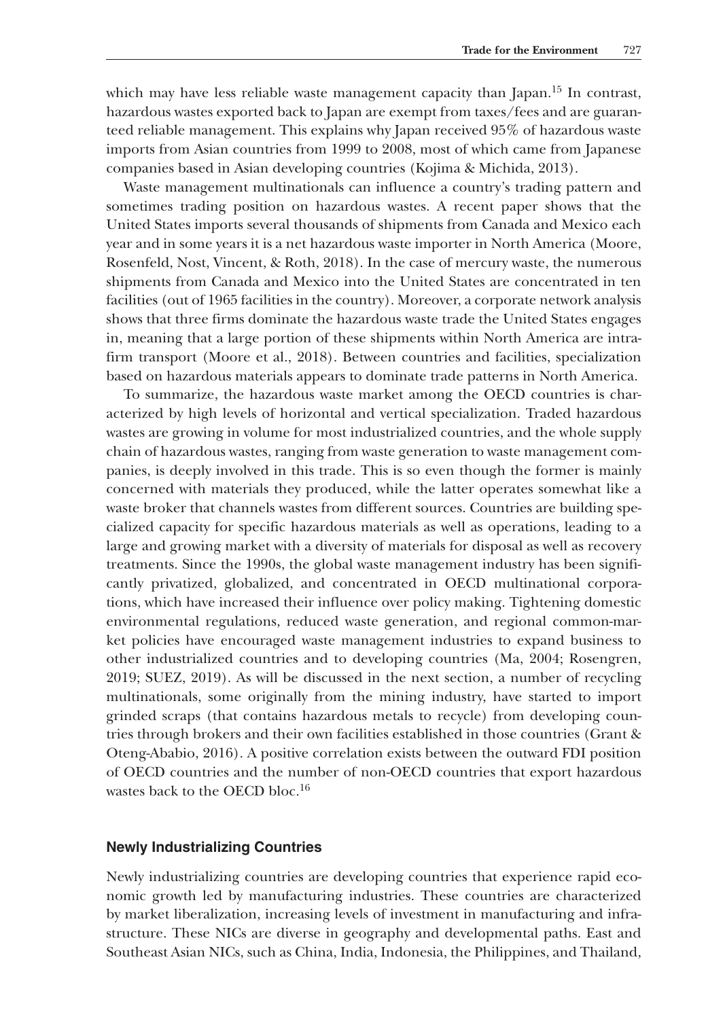which may have less reliable waste management capacity than Japan.<sup>15</sup> In contrast, hazardous wastes exported back to Japan are exempt from taxes/fees and are guaranteed reliable management. This explains why Japan received 95% of hazardous waste imports from Asian countries from 1999 to 2008, most of which came from Japanese companies based in Asian developing countries (Kojima & Michida, 2013).

Waste management multinationals can influence a country's trading pattern and sometimes trading position on hazardous wastes. A recent paper shows that the United States imports several thousands of shipments from Canada and Mexico each year and in some years it is a net hazardous waste importer in North America (Moore, Rosenfeld, Nost, Vincent, & Roth, 2018). In the case of mercury waste, the numerous shipments from Canada and Mexico into the United States are concentrated in ten facilities (out of 1965 facilities in the country). Moreover, a corporate network analysis shows that three firms dominate the hazardous waste trade the United States engages in, meaning that a large portion of these shipments within North America are intrafirm transport (Moore et al., 2018). Between countries and facilities, specialization based on hazardous materials appears to dominate trade patterns in North America.

To summarize, the hazardous waste market among the OECD countries is characterized by high levels of horizontal and vertical specialization. Traded hazardous wastes are growing in volume for most industrialized countries, and the whole supply chain of hazardous wastes, ranging from waste generation to waste management companies, is deeply involved in this trade. This is so even though the former is mainly concerned with materials they produced, while the latter operates somewhat like a waste broker that channels wastes from different sources. Countries are building specialized capacity for specific hazardous materials as well as operations, leading to a large and growing market with a diversity of materials for disposal as well as recovery treatments. Since the 1990s, the global waste management industry has been significantly privatized, globalized, and concentrated in OECD multinational corporations, which have increased their influence over policy making. Tightening domestic environmental regulations, reduced waste generation, and regional common-market policies have encouraged waste management industries to expand business to other industrialized countries and to developing countries (Ma, 2004; Rosengren, 2019; SUEZ, 2019). As will be discussed in the next section, a number of recycling multinationals, some originally from the mining industry, have started to import grinded scraps (that contains hazardous metals to recycle) from developing countries through brokers and their own facilities established in those countries (Grant & Oteng-Ababio, 2016). A positive correlation exists between the outward FDI position of OECD countries and the number of non-OECD countries that export hazardous wastes back to the OECD bloc.16

#### **Newly Industrializing Countries**

Newly industrializing countries are developing countries that experience rapid economic growth led by manufacturing industries. These countries are characterized by market liberalization, increasing levels of investment in manufacturing and infrastructure. These NICs are diverse in geography and developmental paths. East and Southeast Asian NICs, such as China, India, Indonesia, the Philippines, and Thailand,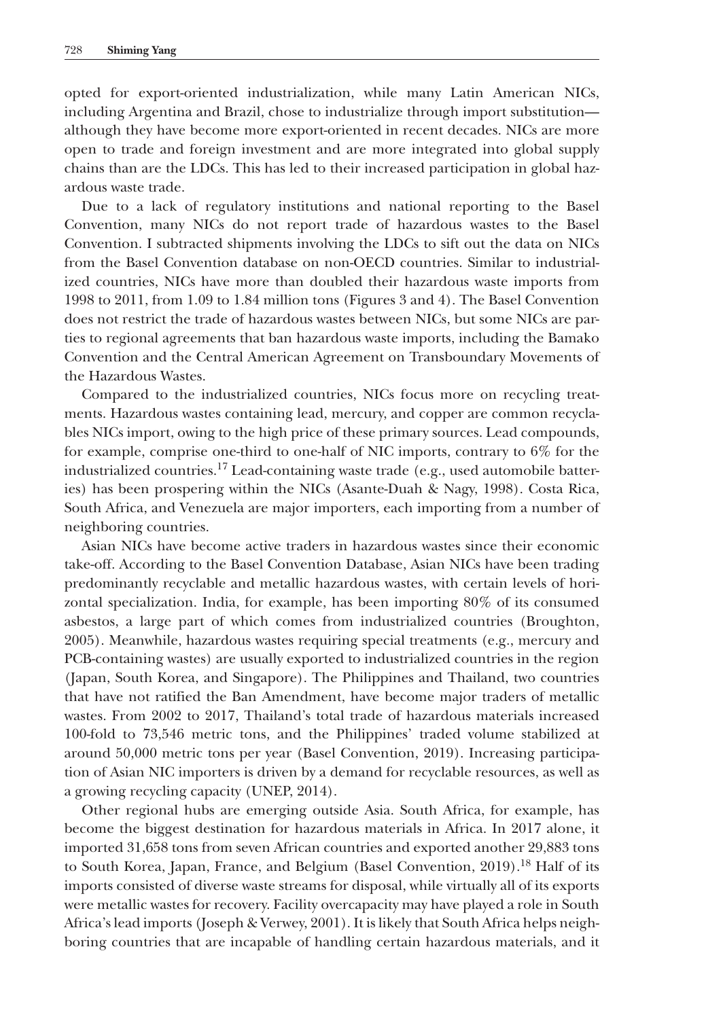opted for export-oriented industrialization, while many Latin American NICs, including Argentina and Brazil, chose to industrialize through import substitution although they have become more export-oriented in recent decades. NICs are more open to trade and foreign investment and are more integrated into global supply chains than are the LDCs. This has led to their increased participation in global hazardous waste trade.

Due to a lack of regulatory institutions and national reporting to the Basel Convention, many NICs do not report trade of hazardous wastes to the Basel Convention. I subtracted shipments involving the LDCs to sift out the data on NICs from the Basel Convention database on non-OECD countries. Similar to industrialized countries, NICs have more than doubled their hazardous waste imports from 1998 to 2011, from 1.09 to 1.84 million tons (Figures 3 and 4). The Basel Convention does not restrict the trade of hazardous wastes between NICs, but some NICs are parties to regional agreements that ban hazardous waste imports, including the Bamako Convention and the Central American Agreement on Transboundary Movements of the Hazardous Wastes.

Compared to the industrialized countries, NICs focus more on recycling treatments. Hazardous wastes containing lead, mercury, and copper are common recyclables NICs import, owing to the high price of these primary sources. Lead compounds, for example, comprise one-third to one-half of NIC imports, contrary to 6% for the industrialized countries.17 Lead-containing waste trade (e.g., used automobile batteries) has been prospering within the NICs (Asante-Duah & Nagy, 1998). Costa Rica, South Africa, and Venezuela are major importers, each importing from a number of neighboring countries.

Asian NICs have become active traders in hazardous wastes since their economic take-off. According to the Basel Convention Database, Asian NICs have been trading predominantly recyclable and metallic hazardous wastes, with certain levels of horizontal specialization. India, for example, has been importing 80% of its consumed asbestos, a large part of which comes from industrialized countries (Broughton, 2005). Meanwhile, hazardous wastes requiring special treatments (e.g., mercury and PCB-containing wastes) are usually exported to industrialized countries in the region (Japan, South Korea, and Singapore). The Philippines and Thailand, two countries that have not ratified the Ban Amendment, have become major traders of metallic wastes. From 2002 to 2017, Thailand's total trade of hazardous materials increased 100-fold to 73,546 metric tons, and the Philippines' traded volume stabilized at around 50,000 metric tons per year (Basel Convention, 2019). Increasing participation of Asian NIC importers is driven by a demand for recyclable resources, as well as a growing recycling capacity (UNEP, 2014).

Other regional hubs are emerging outside Asia. South Africa, for example, has become the biggest destination for hazardous materials in Africa. In 2017 alone, it imported 31,658 tons from seven African countries and exported another 29,883 tons to South Korea, Japan, France, and Belgium (Basel Convention, 2019).<sup>18</sup> Half of its imports consisted of diverse waste streams for disposal, while virtually all of its exports were metallic wastes for recovery. Facility overcapacity may have played a role in South Africa's lead imports (Joseph & Verwey, 2001). It is likely that South Africa helps neighboring countries that are incapable of handling certain hazardous materials, and it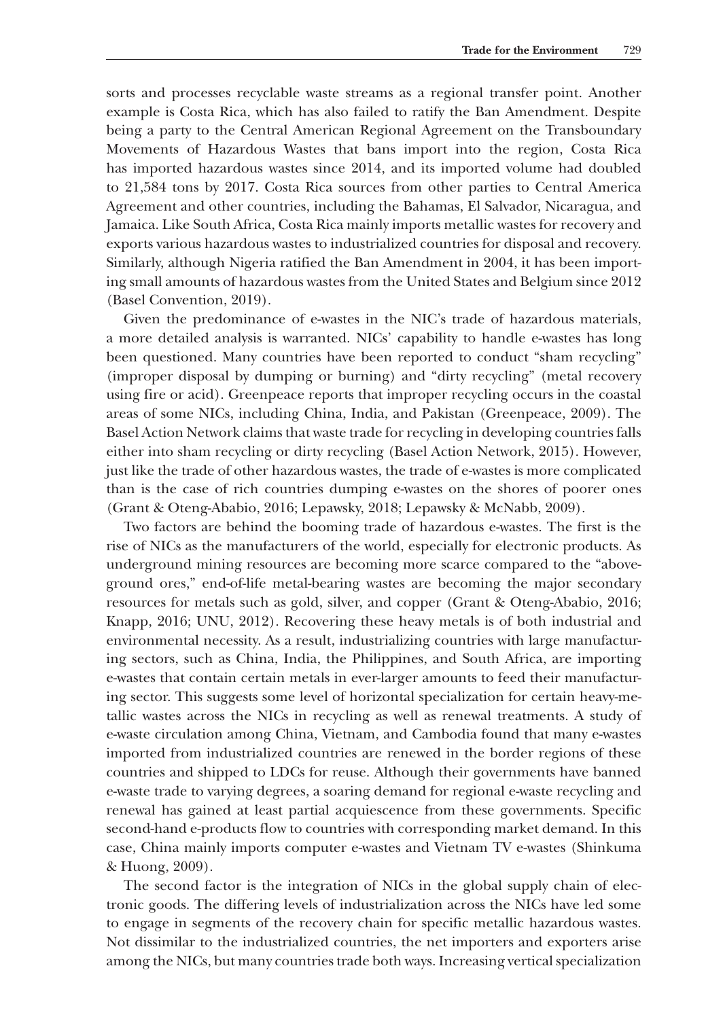sorts and processes recyclable waste streams as a regional transfer point. Another example is Costa Rica, which has also failed to ratify the Ban Amendment. Despite being a party to the Central American Regional Agreement on the Transboundary Movements of Hazardous Wastes that bans import into the region, Costa Rica has imported hazardous wastes since 2014, and its imported volume had doubled to 21,584 tons by 2017. Costa Rica sources from other parties to Central America Agreement and other countries, including the Bahamas, El Salvador, Nicaragua, and Jamaica. Like South Africa, Costa Rica mainly imports metallic wastes for recovery and exports various hazardous wastes to industrialized countries for disposal and recovery. Similarly, although Nigeria ratified the Ban Amendment in 2004, it has been importing small amounts of hazardous wastes from the United States and Belgium since 2012 (Basel Convention, 2019).

Given the predominance of e-wastes in the NIC's trade of hazardous materials, a more detailed analysis is warranted. NICs' capability to handle e-wastes has long been questioned. Many countries have been reported to conduct "sham recycling" (improper disposal by dumping or burning) and "dirty recycling" (metal recovery using fire or acid). Greenpeace reports that improper recycling occurs in the coastal areas of some NICs, including China, India, and Pakistan (Greenpeace, 2009). The Basel Action Network claims that waste trade for recycling in developing countries falls either into sham recycling or dirty recycling (Basel Action Network, 2015). However, just like the trade of other hazardous wastes, the trade of e-wastes is more complicated than is the case of rich countries dumping e-wastes on the shores of poorer ones (Grant & Oteng-Ababio, 2016; Lepawsky, 2018; Lepawsky & McNabb, 2009).

Two factors are behind the booming trade of hazardous e-wastes. The first is the rise of NICs as the manufacturers of the world, especially for electronic products. As underground mining resources are becoming more scarce compared to the "aboveground ores," end-of-life metal-bearing wastes are becoming the major secondary resources for metals such as gold, silver, and copper (Grant & Oteng-Ababio, 2016; Knapp, 2016; UNU, 2012). Recovering these heavy metals is of both industrial and environmental necessity. As a result, industrializing countries with large manufacturing sectors, such as China, India, the Philippines, and South Africa, are importing e-wastes that contain certain metals in ever-larger amounts to feed their manufacturing sector. This suggests some level of horizontal specialization for certain heavy-metallic wastes across the NICs in recycling as well as renewal treatments. A study of e-waste circulation among China, Vietnam, and Cambodia found that many e-wastes imported from industrialized countries are renewed in the border regions of these countries and shipped to LDCs for reuse. Although their governments have banned e-waste trade to varying degrees, a soaring demand for regional e-waste recycling and renewal has gained at least partial acquiescence from these governments. Specific second-hand e-products flow to countries with corresponding market demand. In this case, China mainly imports computer e-wastes and Vietnam TV e-wastes (Shinkuma & Huong, 2009).

The second factor is the integration of NICs in the global supply chain of electronic goods. The differing levels of industrialization across the NICs have led some to engage in segments of the recovery chain for specific metallic hazardous wastes. Not dissimilar to the industrialized countries, the net importers and exporters arise among the NICs, but many countries trade both ways. Increasing vertical specialization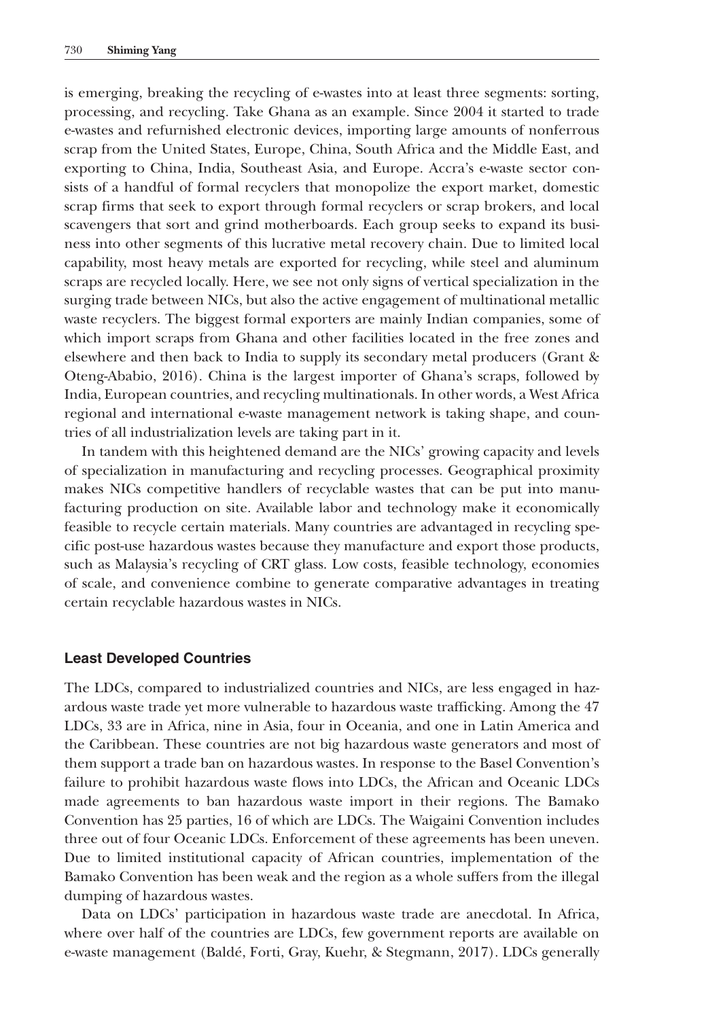is emerging, breaking the recycling of e-wastes into at least three segments: sorting, processing, and recycling. Take Ghana as an example. Since 2004 it started to trade e-wastes and refurnished electronic devices, importing large amounts of nonferrous scrap from the United States, Europe, China, South Africa and the Middle East, and exporting to China, India, Southeast Asia, and Europe. Accra's e-waste sector consists of a handful of formal recyclers that monopolize the export market, domestic scrap firms that seek to export through formal recyclers or scrap brokers, and local scavengers that sort and grind motherboards. Each group seeks to expand its business into other segments of this lucrative metal recovery chain. Due to limited local capability, most heavy metals are exported for recycling, while steel and aluminum scraps are recycled locally. Here, we see not only signs of vertical specialization in the surging trade between NICs, but also the active engagement of multinational metallic waste recyclers. The biggest formal exporters are mainly Indian companies, some of which import scraps from Ghana and other facilities located in the free zones and elsewhere and then back to India to supply its secondary metal producers (Grant & Oteng-Ababio, 2016). China is the largest importer of Ghana's scraps, followed by India, European countries, and recycling multinationals. In other words, a West Africa regional and international e-waste management network is taking shape, and countries of all industrialization levels are taking part in it.

In tandem with this heightened demand are the NICs' growing capacity and levels of specialization in manufacturing and recycling processes. Geographical proximity makes NICs competitive handlers of recyclable wastes that can be put into manufacturing production on site. Available labor and technology make it economically feasible to recycle certain materials. Many countries are advantaged in recycling specific post-use hazardous wastes because they manufacture and export those products, such as Malaysia's recycling of CRT glass. Low costs, feasible technology, economies of scale, and convenience combine to generate comparative advantages in treating certain recyclable hazardous wastes in NICs.

# **Least Developed Countries**

The LDCs, compared to industrialized countries and NICs, are less engaged in hazardous waste trade yet more vulnerable to hazardous waste trafficking. Among the 47 LDCs, 33 are in Africa, nine in Asia, four in Oceania, and one in Latin America and the Caribbean. These countries are not big hazardous waste generators and most of them support a trade ban on hazardous wastes. In response to the Basel Convention's failure to prohibit hazardous waste flows into LDCs, the African and Oceanic LDCs made agreements to ban hazardous waste import in their regions. The Bamako Convention has 25 parties, 16 of which are LDCs. The Waigaini Convention includes three out of four Oceanic LDCs. Enforcement of these agreements has been uneven. Due to limited institutional capacity of African countries, implementation of the Bamako Convention has been weak and the region as a whole suffers from the illegal dumping of hazardous wastes.

Data on LDCs' participation in hazardous waste trade are anecdotal. In Africa, where over half of the countries are LDCs, few government reports are available on e-waste management (Baldé, Forti, Gray, Kuehr, & Stegmann, 2017). LDCs generally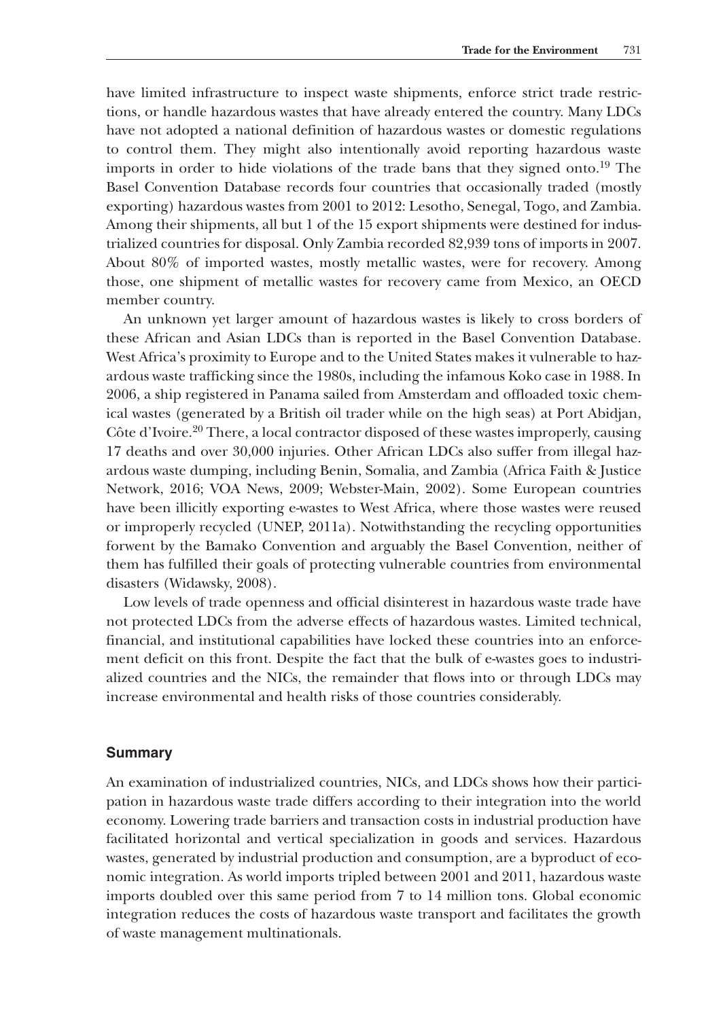have limited infrastructure to inspect waste shipments, enforce strict trade restrictions, or handle hazardous wastes that have already entered the country. Many LDCs have not adopted a national definition of hazardous wastes or domestic regulations to control them. They might also intentionally avoid reporting hazardous waste imports in order to hide violations of the trade bans that they signed onto.19 The Basel Convention Database records four countries that occasionally traded (mostly exporting) hazardous wastes from 2001 to 2012: Lesotho, Senegal, Togo, and Zambia. Among their shipments, all but 1 of the 15 export shipments were destined for industrialized countries for disposal. Only Zambia recorded 82,939 tons of imports in 2007. About 80% of imported wastes, mostly metallic wastes, were for recovery. Among those, one shipment of metallic wastes for recovery came from Mexico, an OECD member country.

An unknown yet larger amount of hazardous wastes is likely to cross borders of these African and Asian LDCs than is reported in the Basel Convention Database. West Africa's proximity to Europe and to the United States makes it vulnerable to hazardous waste trafficking since the 1980s, including the infamous Koko case in 1988. In 2006, a ship registered in Panama sailed from Amsterdam and offloaded toxic chemical wastes (generated by a British oil trader while on the high seas) at Port Abidjan, Côte d'Ivoire.20 There, a local contractor disposed of these wastes improperly, causing 17 deaths and over 30,000 injuries. Other African LDCs also suffer from illegal hazardous waste dumping, including Benin, Somalia, and Zambia (Africa Faith & Justice Network, 2016; VOA News, 2009; Webster-Main, 2002). Some European countries have been illicitly exporting e-wastes to West Africa, where those wastes were reused or improperly recycled (UNEP, 2011a). Notwithstanding the recycling opportunities forwent by the Bamako Convention and arguably the Basel Convention, neither of them has fulfilled their goals of protecting vulnerable countries from environmental disasters (Widawsky, 2008).

Low levels of trade openness and official disinterest in hazardous waste trade have not protected LDCs from the adverse effects of hazardous wastes. Limited technical, financial, and institutional capabilities have locked these countries into an enforcement deficit on this front. Despite the fact that the bulk of e-wastes goes to industrialized countries and the NICs, the remainder that flows into or through LDCs may increase environmental and health risks of those countries considerably.

#### **Summary**

An examination of industrialized countries, NICs, and LDCs shows how their participation in hazardous waste trade differs according to their integration into the world economy. Lowering trade barriers and transaction costs in industrial production have facilitated horizontal and vertical specialization in goods and services. Hazardous wastes, generated by industrial production and consumption, are a byproduct of economic integration. As world imports tripled between 2001 and 2011, hazardous waste imports doubled over this same period from 7 to 14 million tons. Global economic integration reduces the costs of hazardous waste transport and facilitates the growth of waste management multinationals.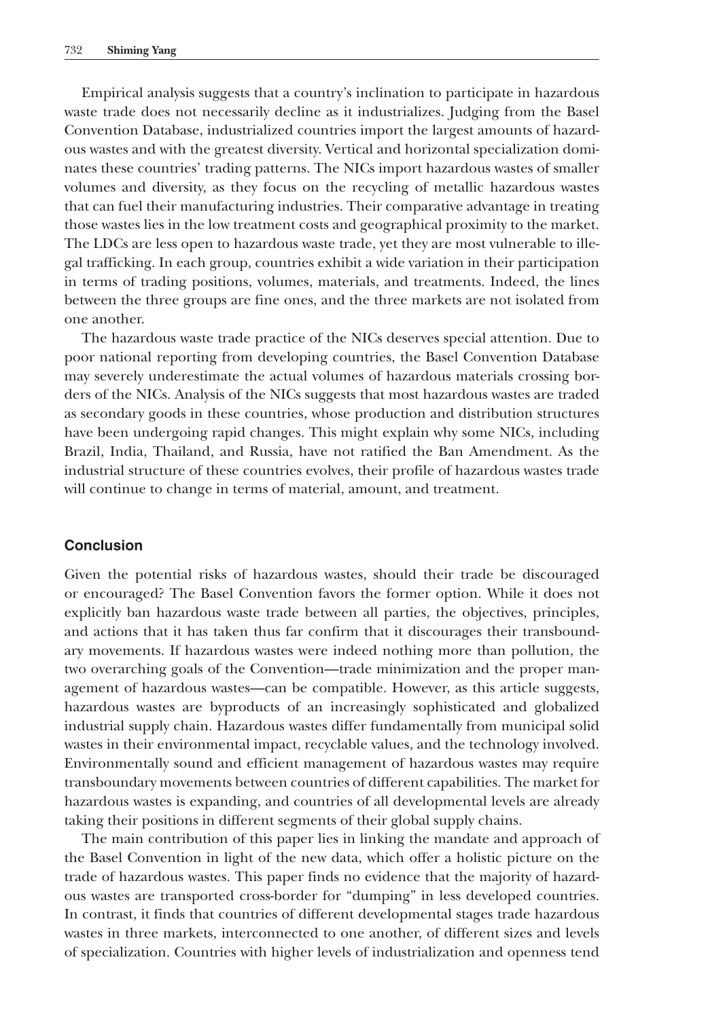Empirical analysis suggests that a country's inclination to participate in hazardous waste trade does not necessarily decline as it industrializes. Judging from the Basel Convention Database, industrialized countries import the largest amounts of hazardous wastes and with the greatest diversity. Vertical and horizontal specialization dominates these countries' trading patterns. The NICs import hazardous wastes of smaller volumes and diversity, as they focus on the recycling of metallic hazardous wastes that can fuel their manufacturing industries. Their comparative advantage in treating those wastes lies in the low treatment costs and geographical proximity to the market. The LDCs are less open to hazardous waste trade, yet they are most vulnerable to illegal trafficking. In each group, countries exhibit a wide variation in their participation in terms of trading positions, volumes, materials, and treatments. Indeed, the lines between the three groups are fine ones, and the three markets are not isolated from one another.

The hazardous waste trade practice of the NICs deserves special attention. Due to poor national reporting from developing countries, the Basel Convention Database may severely underestimate the actual volumes of hazardous materials crossing borders of the NICs. Analysis of the NICs suggests that most hazardous wastes are traded as secondary goods in these countries, whose production and distribution structures have been undergoing rapid changes. This might explain why some NICs, including Brazil, India, Thailand, and Russia, have not ratified the Ban Amendment. As the industrial structure of these countries evolves, their profile of hazardous wastes trade will continue to change in terms of material, amount, and treatment.

#### **Conclusion**

Given the potential risks of hazardous wastes, should their trade be discouraged or encouraged? The Basel Convention favors the former option. While it does not explicitly ban hazardous waste trade between all parties, the objectives, principles, and actions that it has taken thus far confirm that it discourages their transboundary movements. If hazardous wastes were indeed nothing more than pollution, the two overarching goals of the Convention—trade minimization and the proper management of hazardous wastes—can be compatible. However, as this article suggests, hazardous wastes are byproducts of an increasingly sophisticated and globalized industrial supply chain. Hazardous wastes differ fundamentally from municipal solid wastes in their environmental impact, recyclable values, and the technology involved. Environmentally sound and efficient management of hazardous wastes may require transboundary movements between countries of different capabilities. The market for hazardous wastes is expanding, and countries of all developmental levels are already taking their positions in different segments of their global supply chains.

The main contribution of this paper lies in linking the mandate and approach of the Basel Convention in light of the new data, which offer a holistic picture on the trade of hazardous wastes. This paper finds no evidence that the majority of hazardous wastes are transported cross-border for "dumping" in less developed countries. In contrast, it finds that countries of different developmental stages trade hazardous wastes in three markets, interconnected to one another, of different sizes and levels of specialization. Countries with higher levels of industrialization and openness tend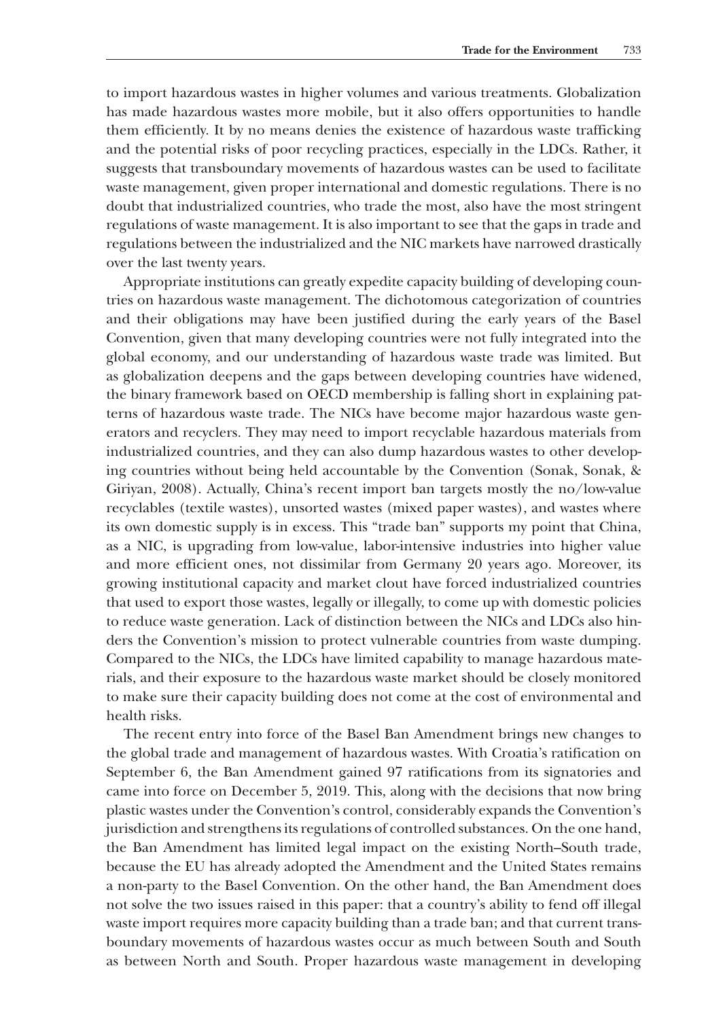to import hazardous wastes in higher volumes and various treatments. Globalization has made hazardous wastes more mobile, but it also offers opportunities to handle them efficiently. It by no means denies the existence of hazardous waste trafficking and the potential risks of poor recycling practices, especially in the LDCs. Rather, it suggests that transboundary movements of hazardous wastes can be used to facilitate waste management, given proper international and domestic regulations. There is no doubt that industrialized countries, who trade the most, also have the most stringent regulations of waste management. It is also important to see that the gaps in trade and regulations between the industrialized and the NIC markets have narrowed drastically over the last twenty years.

Appropriate institutions can greatly expedite capacity building of developing countries on hazardous waste management. The dichotomous categorization of countries and their obligations may have been justified during the early years of the Basel Convention, given that many developing countries were not fully integrated into the global economy, and our understanding of hazardous waste trade was limited. But as globalization deepens and the gaps between developing countries have widened, the binary framework based on OECD membership is falling short in explaining patterns of hazardous waste trade. The NICs have become major hazardous waste generators and recyclers. They may need to import recyclable hazardous materials from industrialized countries, and they can also dump hazardous wastes to other developing countries without being held accountable by the Convention (Sonak, Sonak, & Giriyan, 2008). Actually, China's recent import ban targets mostly the no/low-value recyclables (textile wastes), unsorted wastes (mixed paper wastes), and wastes where its own domestic supply is in excess. This "trade ban" supports my point that China, as a NIC, is upgrading from low-value, labor-intensive industries into higher value and more efficient ones, not dissimilar from Germany 20 years ago. Moreover, its growing institutional capacity and market clout have forced industrialized countries that used to export those wastes, legally or illegally, to come up with domestic policies to reduce waste generation. Lack of distinction between the NICs and LDCs also hinders the Convention's mission to protect vulnerable countries from waste dumping. Compared to the NICs, the LDCs have limited capability to manage hazardous materials, and their exposure to the hazardous waste market should be closely monitored to make sure their capacity building does not come at the cost of environmental and health risks.

The recent entry into force of the Basel Ban Amendment brings new changes to the global trade and management of hazardous wastes. With Croatia's ratification on September 6, the Ban Amendment gained 97 ratifications from its signatories and came into force on December 5, 2019. This, along with the decisions that now bring plastic wastes under the Convention's control, considerably expands the Convention's jurisdiction and strengthens its regulations of controlled substances. On the one hand, the Ban Amendment has limited legal impact on the existing North–South trade, because the EU has already adopted the Amendment and the United States remains a non-party to the Basel Convention. On the other hand, the Ban Amendment does not solve the two issues raised in this paper: that a country's ability to fend off illegal waste import requires more capacity building than a trade ban; and that current transboundary movements of hazardous wastes occur as much between South and South as between North and South. Proper hazardous waste management in developing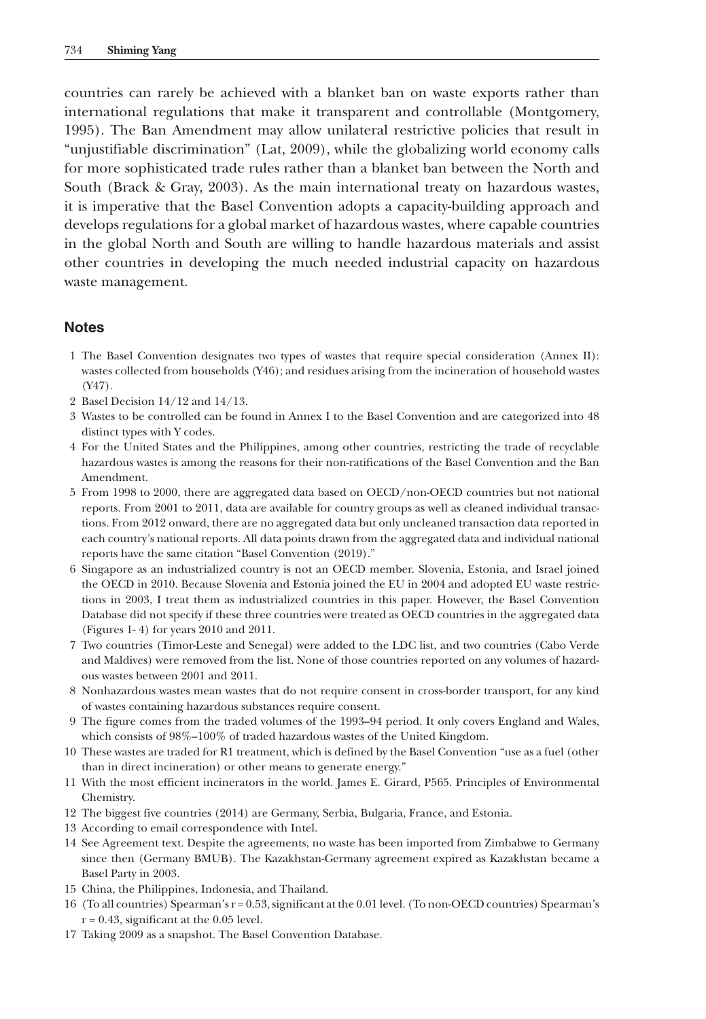countries can rarely be achieved with a blanket ban on waste exports rather than international regulations that make it transparent and controllable (Montgomery, 1995). The Ban Amendment may allow unilateral restrictive policies that result in "unjustifiable discrimination" (Lat, 2009), while the globalizing world economy calls for more sophisticated trade rules rather than a blanket ban between the North and South (Brack & Gray, 2003). As the main international treaty on hazardous wastes, it is imperative that the Basel Convention adopts a capacity-building approach and develops regulations for a global market of hazardous wastes, where capable countries in the global North and South are willing to handle hazardous materials and assist other countries in developing the much needed industrial capacity on hazardous waste management.

# **Notes**

- 1 The Basel Convention designates two types of wastes that require special consideration (Annex II): wastes collected from households (Y46); and residues arising from the incineration of household wastes (Y47).
- 2 Basel Decision 14/12 and 14/13.
- 3 Wastes to be controlled can be found in Annex I to the Basel Convention and are categorized into 48 distinct types with Y codes.
- 4 For the United States and the Philippines, among other countries, restricting the trade of recyclable hazardous wastes is among the reasons for their non-ratifications of the Basel Convention and the Ban Amendment.
- 5 From 1998 to 2000, there are aggregated data based on OECD/non-OECD countries but not national reports. From 2001 to 2011, data are available for country groups as well as cleaned individual transactions. From 2012 onward, there are no aggregated data but only uncleaned transaction data reported in each country's national reports. All data points drawn from the aggregated data and individual national reports have the same citation "Basel Convention (2019)."
- 6 Singapore as an industrialized country is not an OECD member. Slovenia, Estonia, and Israel joined the OECD in 2010. Because Slovenia and Estonia joined the EU in 2004 and adopted EU waste restrictions in 2003, I treat them as industrialized countries in this paper. However, the Basel Convention Database did not specify if these three countries were treated as OECD countries in the aggregated data (Figures 1- 4) for years 2010 and 2011.
- 7 Two countries (Timor-Leste and Senegal) were added to the LDC list, and two countries (Cabo Verde and Maldives) were removed from the list. None of those countries reported on any volumes of hazardous wastes between 2001 and 2011.
- 8 Nonhazardous wastes mean wastes that do not require consent in cross-border transport, for any kind of wastes containing hazardous substances require consent.
- 9 The figure comes from the traded volumes of the 1993–94 period. It only covers England and Wales, which consists of 98%–100% of traded hazardous wastes of the United Kingdom.
- 10 These wastes are traded for R1 treatment, which is defined by the Basel Convention "use as a fuel (other than in direct incineration) or other means to generate energy."
- 11 With the most efficient incinerators in the world. James E. Girard, P565. Principles of Environmental Chemistry.
- 12 The biggest five countries (2014) are Germany, Serbia, Bulgaria, France, and Estonia.
- 13 According to email correspondence with Intel.
- 14 See Agreement text. Despite the agreements, no waste has been imported from Zimbabwe to Germany since then (Germany BMUB). The Kazakhstan-Germany agreement expired as Kazakhstan became a Basel Party in 2003.
- 15 China, the Philippines, Indonesia, and Thailand.
- 16 (To all countries) Spearman's r = 0.53, significant at the 0.01 level. (To non-OECD countries) Spearman's  $r = 0.43$ , significant at the 0.05 level.
- 17 Taking 2009 as a snapshot. The Basel Convention Database.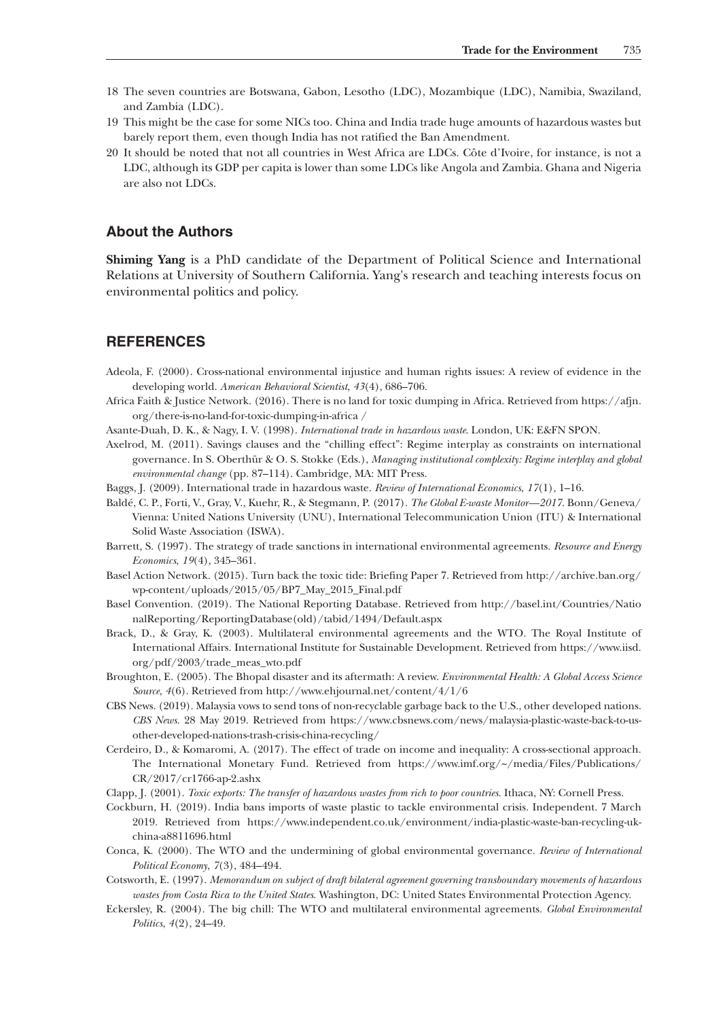- 18 The seven countries are Botswana, Gabon, Lesotho (LDC), Mozambique (LDC), Namibia, Swaziland, and Zambia (LDC).
- 19 This might be the case for some NICs too. China and India trade huge amounts of hazardous wastes but barely report them, even though India has not ratified the Ban Amendment.
- 20 It should be noted that not all countries in West Africa are LDCs. Côte d'Ivoire, for instance, is not a LDC, although its GDP per capita is lower than some LDCs like Angola and Zambia. Ghana and Nigeria are also not LDCs.

#### **About the Authors**

**Shiming Yang** is a PhD candidate of the Department of Political Science and International Relations at University of Southern California. Yang's research and teaching interests focus on environmental politics and policy.

# **REFERENCES**

- Adeola, F. (2000). Cross-national environmental injustice and human rights issues: A review of evidence in the developing world. *American Behavioral Scientist*, *43*(4), 686–706.
- Africa Faith & Justice Network. (2016). There is no land for toxic dumping in Africa. Retrieved from [https://afjn.](https://afjn.org/there-is-no-land-for-toxic-dumping-in-africa) [org/there-is-no-land-for-toxic-dumping-in-africa](https://afjn.org/there-is-no-land-for-toxic-dumping-in-africa) [/](http:///)
- Asante-Duah, D. K., & Nagy, I. V. (1998). *International trade in hazardous waste*. London, UK: E&FN SPON.
- Axelrod, M. (2011). Savings clauses and the "chilling effect": Regime interplay as constraints on international governance. In S. Oberthür & O. S. Stokke (Eds.), *Managing institutional complexity: Regime interplay and global environmental change* (pp. 87–114). Cambridge, MA: MIT Press.
- Baggs, J. (2009). International trade in hazardous waste. *Review of International Economics*, *17*(1), 1–16.
- Baldé, C. P., Forti, V., Gray, V., Kuehr, R., & Stegmann, P. (2017). *The Global E-waste Monitor—2017*. Bonn/Geneva/ Vienna: United Nations University (UNU), International Telecommunication Union (ITU) & International Solid Waste Association (ISWA).
- Barrett, S. (1997). The strategy of trade sanctions in international environmental agreements. *Resource and Energy Economics*, *19*(4), 345–361.
- Basel Action Network. (2015). Turn back the toxic tide: Briefing Paper 7. Retrieved from [http://archive.ban.org/](http://archive.ban.org/wp-content/uploads/2015/05/BP7_May_2015_Final.pdf) [wp-content/uploads/2015/05/BP7\\_May\\_2015\\_Final.pdf](http://archive.ban.org/wp-content/uploads/2015/05/BP7_May_2015_Final.pdf)
- Basel Convention. (2019). The National Reporting Database. Retrieved from [http://basel.int/Countries/Natio](http://basel.int/Countries/NationalReporting/ReportingDatabase(old)/tabid/1494/Default.aspx) [nalReporting/ReportingDatabase\(old\)/tabid/1494/Default.aspx](http://basel.int/Countries/NationalReporting/ReportingDatabase(old)/tabid/1494/Default.aspx)
- Brack, D., & Gray, K. (2003). Multilateral environmental agreements and the WTO. The Royal Institute of International Affairs. International Institute for Sustainable Development. Retrieved from [https://www.iisd.](https://www.iisd.org/pdf/2003/trade_meas_wto.pdf) [org/pdf/2003/trade\\_meas\\_wto.pdf](https://www.iisd.org/pdf/2003/trade_meas_wto.pdf)
- Broughton, E. (2005). The Bhopal disaster and its aftermath: A review. *Environmental Health: A Global Access Science Source*, *4*(6). Retrieved from<http://www.ehjournal.net/content/4/1/6>
- CBS News. (2019). Malaysia vows to send tons of non-recyclable garbage back to the U.S., other developed nations. *CBS News*. 28 May 2019. Retrieved from [https://www.cbsnews.com/news/malaysia-plastic-waste-back-to-us](https://www.cbsnews.com/news/malaysia-plastic-waste-back-to-us-other-developed-nations-trash-crisis-china-recycling/)[other-developed-nations-trash-crisis-china-recycling/](https://www.cbsnews.com/news/malaysia-plastic-waste-back-to-us-other-developed-nations-trash-crisis-china-recycling/)
- Cerdeiro, D., & Komaromi, A. (2017). The effect of trade on income and inequality: A cross-sectional approach. The International Monetary Fund. Retrieved from [https://www.imf.org/~/media/Files/Publications/](https://www.imf.org/%7E/media/Files/Publications/CR/2017/cr1766-ap-2.ashx) [CR/2017/cr1766-ap-2.ashx](https://www.imf.org/%7E/media/Files/Publications/CR/2017/cr1766-ap-2.ashx)
- Clapp, J. (2001). *Toxic exports: The transfer of hazardous wastes from rich to poor countries*. Ithaca, NY: Cornell Press.
- Cockburn, H. (2019). India bans imports of waste plastic to tackle environmental crisis. Independent. 7 March 2019. Retrieved from [https://www.independent.co.uk/environment/india-plastic-waste-ban-recycling-uk](https://www.independent.co.uk/environment/india-plastic-waste-ban-recycling-uk-china-a8811696.html)[china-a8811696.html](https://www.independent.co.uk/environment/india-plastic-waste-ban-recycling-uk-china-a8811696.html)
- Conca, K. (2000). The WTO and the undermining of global environmental governance. *Review of International Political Economy*, *7*(3), 484–494.
- Cotsworth, E. (1997). *Memorandum on subject of draft bilateral agreement governing transboundary movements of hazardous wastes from Costa Rica to the United States*. Washington, DC: United States Environmental Protection Agency.
- Eckersley, R. (2004). The big chill: The WTO and multilateral environmental agreements. *Global Environmental Politics*, *4*(2), 24–49.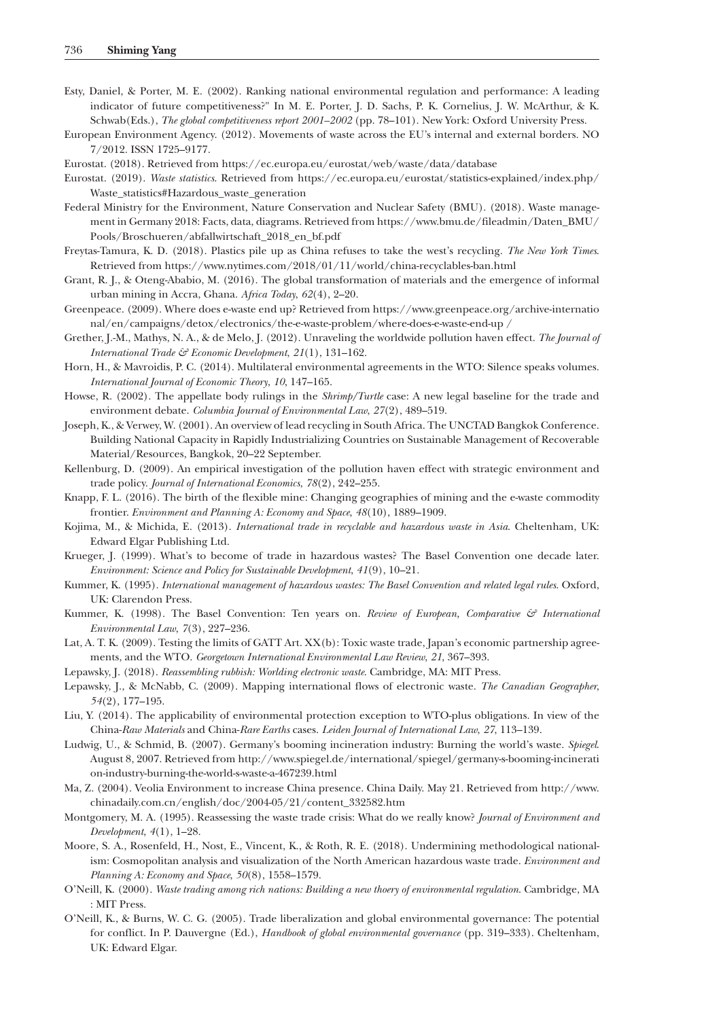- Esty, Daniel, & Porter, M. E. (2002). Ranking national environmental regulation and performance: A leading indicator of future competitiveness?" In M. E. Porter, J. D. Sachs, P. K. Cornelius, J. W. McArthur, & K. Schwab(Eds.), *The global competitiveness report 2001–2002* (pp. 78–101). New York: Oxford University Press.
- European Environment Agency. (2012). Movements of waste across the EU's internal and external borders. NO 7/2012. ISSN 1725–9177.
- Eurostat. (2018). Retrieved from <https://ec.europa.eu/eurostat/web/waste/data/database>
- Eurostat. (2019). *Waste statistics*. Retrieved from [https://ec.europa.eu/eurostat/statistics-explained/index.php/](https://ec.europa.eu/eurostat/statistics-explained/index.php/Waste_statistics#Hazardous_waste_generation) [Waste\\_statistics#Hazardous\\_waste\\_generation](https://ec.europa.eu/eurostat/statistics-explained/index.php/Waste_statistics#Hazardous_waste_generation)
- Federal Ministry for the Environment, Nature Conservation and Nuclear Safety (BMU). (2018). Waste management in Germany 2018: Facts, data, diagrams. Retrieved from [https://www.bmu.de/fileadmin/Daten\\_BMU/](https://www.bmu.de/fileadmin/Daten_BMU/Pools/Broschueren/abfallwirtschaft_2018_en_bf.pdf) [Pools/Broschueren/abfallwirtschaft\\_2018\\_en\\_bf.pdf](https://www.bmu.de/fileadmin/Daten_BMU/Pools/Broschueren/abfallwirtschaft_2018_en_bf.pdf)
- Freytas-Tamura, K. D. (2018). Plastics pile up as China refuses to take the west's recycling. *The New York Times*. Retrieved from<https://www.nytimes.com/2018/01/11/world/china-recyclables-ban.html>
- Grant, R. J., & Oteng-Ababio, M. (2016). The global transformation of materials and the emergence of informal urban mining in Accra, Ghana. *Africa Today*, *62*(4), 2–20.
- Greenpeace. (2009). Where does e-waste end up? Retrieved from [https://www.greenpeace.org/archive-internatio](https://www.greenpeace.org/archive-international/en/campaigns/detox/electronics/the-e-waste-problem/where-does-e-waste-end-up) [nal/en/campaigns/detox/electronics/the-e-waste-problem/where-does-e-waste-end-up](https://www.greenpeace.org/archive-international/en/campaigns/detox/electronics/the-e-waste-problem/where-does-e-waste-end-up) [/](http:///)
- Grether, J.-M., Mathys, N. A., & de Melo, J. (2012). Unraveling the worldwide pollution haven effect. *The Journal of International Trade & Economic Development*, *21*(1), 131–162.
- Horn, H., & Mavroidis, P. C. (2014). Multilateral environmental agreements in the WTO: Silence speaks volumes. *International Journal of Economic Theory*, *10*, 147–165.
- Howse, R. (2002). The appellate body rulings in the *Shrimp/Turtle* case: A new legal baseline for the trade and environment debate. *Columbia Journal of Environmental Law*, *27*(2), 489–519.
- Joseph, K., & Verwey, W. (2001). An overview of lead recycling in South Africa. The UNCTAD Bangkok Conference. Building National Capacity in Rapidly Industrializing Countries on Sustainable Management of Recoverable Material/Resources, Bangkok, 20–22 September.
- Kellenburg, D. (2009). An empirical investigation of the pollution haven effect with strategic environment and trade policy. *Journal of International Economics*, *78*(2), 242–255.
- Knapp, F. L. (2016). The birth of the flexible mine: Changing geographies of mining and the e-waste commodity frontier. *Environment and Planning A: Economy and Space*, *48*(10), 1889–1909.
- Kojima, M., & Michida, E. (2013). *International trade in recyclable and hazardous waste in Asia*. Cheltenham, UK: Edward Elgar Publishing Ltd.
- Krueger, J. (1999). What's to become of trade in hazardous wastes? The Basel Convention one decade later. *Environment: Science and Policy for Sustainable Development*, *41*(9), 10–21.
- Kummer, K. (1995). *International management of hazardous wastes: The Basel Convention and related legal rules*. Oxford, UK: Clarendon Press.
- Kummer, K. (1998). The Basel Convention: Ten years on. *Review of European, Comparative & International Environmental Law*, *7*(3), 227–236.
- Lat, A. T. K. (2009). Testing the limits of GATT Art. XX(b): Toxic waste trade, Japan's economic partnership agreements, and the WTO. *Georgetown International Environmental Law Review*, *21*, 367–393.
- Lepawsky, J. (2018). *Reassembling rubbish: Worlding electronic waste*. Cambridge, MA: MIT Press.
- Lepawsky, J., & McNabb, C. (2009). Mapping international flows of electronic waste. *The Canadian Geographer*, *54*(2), 177–195.
- Liu, Y. (2014). The applicability of environmental protection exception to WTO-plus obligations. In view of the China-*Raw Materials* and China-*Rare Earths* cases. *Leiden Journal of International Law*, *27*, 113–139.
- Ludwig, U., & Schmid, B. (2007). Germany's booming incineration industry: Burning the world's waste. *Spiegel*. August 8, 2007. Retrieved from [http://www.spiegel.de/international/spiegel/germany-s-booming-incinerati](http://www.spiegel.de/international/spiegel/germany-s-booming-incineration-industry-burning-the-world-s-waste-a-467239.html) [on-industry-burning-the-world-s-waste-a-467239.html](http://www.spiegel.de/international/spiegel/germany-s-booming-incineration-industry-burning-the-world-s-waste-a-467239.html)
- Ma, Z. (2004). Veolia Environment to increase China presence. China Daily. May 21. Retrieved from [http://www.](http://www.chinadaily.com.cn/english/doc/2004-05/21/content_332582.htm) [chinadaily.com.cn/english/doc/2004-05/21/content\\_332582.htm](http://www.chinadaily.com.cn/english/doc/2004-05/21/content_332582.htm)
- Montgomery, M. A. (1995). Reassessing the waste trade crisis: What do we really know? *Journal of Environment and Development*, *4*(1), 1–28.
- Moore, S. A., Rosenfeld, H., Nost, E., Vincent, K., & Roth, R. E. (2018). Undermining methodological nationalism: Cosmopolitan analysis and visualization of the North American hazardous waste trade. *Environment and Planning A: Economy and Space*, *50*(8), 1558–1579.
- O'Neill, K. (2000). *Waste trading among rich nations: Building a new thoery of environmental regulation*. Cambridge, MA : MIT Press.
- O'Neill, K., & Burns, W. C. G. (2005). Trade liberalization and global environmental governance: The potential for conflict. In P. Dauvergne (Ed.), *Handbook of global environmental governance* (pp. 319–333). Cheltenham, UK: Edward Elgar.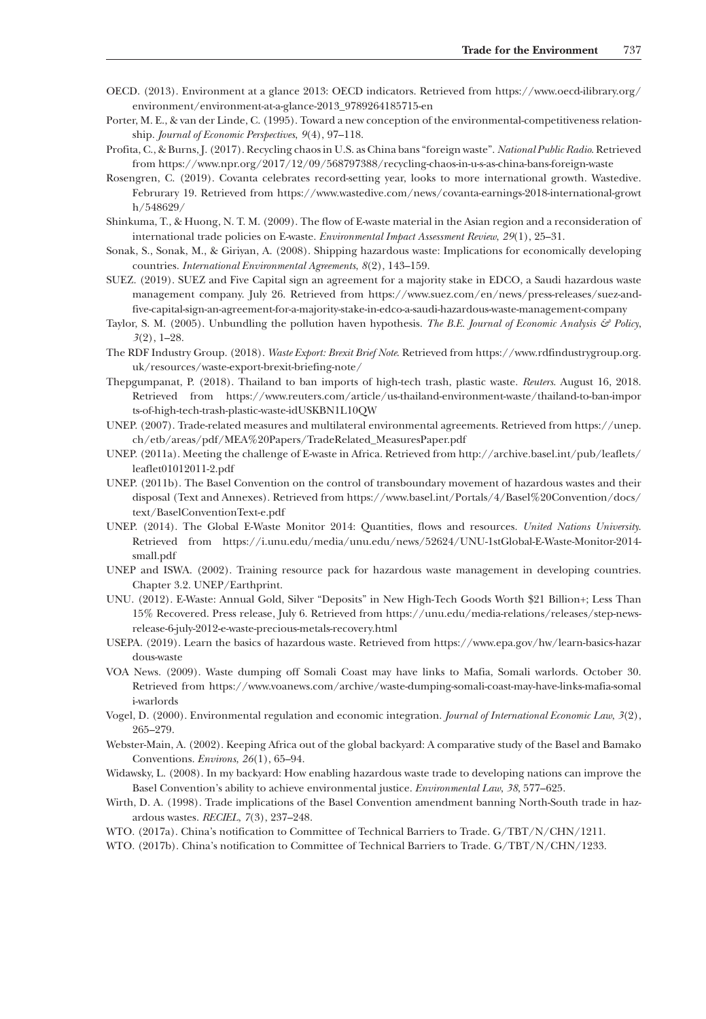- OECD. (2013). Environment at a glance 2013: OECD indicators. Retrieved from [https://www.oecd-ilibrary.org/](https://www.oecd-ilibrary.org/environment/environment-at-a-glance-2013_9789264185715-en) [environment/environment-at-a-glance-2013\\_9789264185715-en](https://www.oecd-ilibrary.org/environment/environment-at-a-glance-2013_9789264185715-en)
- Porter, M. E., & van der Linde, C. (1995). Toward a new conception of the environmental-competitiveness relationship. *Journal of Economic Perspectives*, *9*(4), 97–118.
- Profita, C., & Burns, J. (2017). Recycling chaos in U.S. as China bans "foreign waste". *National Public Radio*. Retrieved from<https://www.npr.org/2017/12/09/568797388/recycling-chaos-in-u-s-as-china-bans-foreign-waste>
- Rosengren, C. (2019). Covanta celebrates record-setting year, looks to more international growth. Wastedive. Februrary 19. Retrieved from [https://www.wastedive.com/news/covanta-earnings-2018-international-growt](https://www.wastedive.com/news/covanta-earnings-2018-international-growth/548629/) [h/548629/](https://www.wastedive.com/news/covanta-earnings-2018-international-growth/548629/)
- Shinkuma, T., & Huong, N. T. M. (2009). The flow of E-waste material in the Asian region and a reconsideration of international trade policies on E-waste. *Environmental Impact Assessment Review*, *29*(1), 25–31.
- Sonak, S., Sonak, M., & Giriyan, A. (2008). Shipping hazardous waste: Implications for economically developing countries. *International Environmental Agreements*, *8*(2), 143–159.
- SUEZ. (2019). SUEZ and Five Capital sign an agreement for a majority stake in EDCO, a Saudi hazardous waste management company. July 26. Retrieved from [https://www.suez.com/en/news/press-releases/suez-and](https://www.suez.com/en/news/press-releases/suez-and-five-capital-sign-an-agreement-for-a-majority-stake-in-edco-a-saudi-hazardous-waste-management-company)[five-capital-sign-an-agreement-for-a-majority-stake-in-edco-a-saudi-hazardous-waste-management-company](https://www.suez.com/en/news/press-releases/suez-and-five-capital-sign-an-agreement-for-a-majority-stake-in-edco-a-saudi-hazardous-waste-management-company)
- Taylor, S. M. (2005). Unbundling the pollution haven hypothesis. *The B.E. Journal of Economic Analysis & Policy*, *3*(2), 1–28.
- The RDF Industry Group. (2018). *Waste Export: Brexit Brief Note*. Retrieved from [https://www.rdfindustrygroup.org.](https://www.rdfindustrygroup.org.uk/resources/waste-export-brexit-briefing-note/) [uk/resources/waste-export-brexit-briefing-note/](https://www.rdfindustrygroup.org.uk/resources/waste-export-brexit-briefing-note/)
- Thepgumpanat, P. (2018). Thailand to ban imports of high-tech trash, plastic waste. *Reuters*. August 16, 2018. Retrieved from [https://www.reuters.com/article/us-thailand-environment-waste/thailand-to-ban-impor](https://www.reuters.com/article/us-thailand-environment-waste/thailand-to-ban-imports-of-high-tech-trash-plastic-waste-idUSKBN1L10QW) [ts-of-high-tech-trash-plastic-waste-idUSKBN1L10QW](https://www.reuters.com/article/us-thailand-environment-waste/thailand-to-ban-imports-of-high-tech-trash-plastic-waste-idUSKBN1L10QW)
- UNEP. (2007). Trade-related measures and multilateral environmental agreements. Retrieved from [https://unep.](https://unep.ch/etb/areas/pdf/MEA Papers/TradeRelated_MeasuresPaper.pdf) [ch/etb/areas/pdf/MEA%20Papers/TradeRelated\\_MeasuresPaper.pdf](https://unep.ch/etb/areas/pdf/MEA Papers/TradeRelated_MeasuresPaper.pdf)
- UNEP. (2011a). Meeting the challenge of E-waste in Africa. Retrieved from [http://archive.basel.int/pub/leaflets/](http://archive.basel.int/pub/leaflets/leaflet01012011-2.pdf) [leaflet01012011-2.pdf](http://archive.basel.int/pub/leaflets/leaflet01012011-2.pdf)
- UNEP. (2011b). The Basel Convention on the control of transboundary movement of hazardous wastes and their disposal (Text and Annexes). Retrieved from [https://www.basel.int/Portals/4/Basel%20Convention/docs/](https://www.basel.int/Portals/4/Basel Convention/docs/text/BaselConventionText-e.pdf) [text/BaselConventionText-e.pdf](https://www.basel.int/Portals/4/Basel Convention/docs/text/BaselConventionText-e.pdf)
- UNEP. (2014). The Global E-Waste Monitor 2014: Quantities, flows and resources. *United Nations University*. Retrieved from [https://i.unu.edu/media/unu.edu/news/52624/UNU-1stGlobal-E-Waste-Monitor-2014](https://i.unu.edu/media/unu.edu/news/52624/UNU-1stGlobal-E-Waste-Monitor-2014-small.pdf) [small.pdf](https://i.unu.edu/media/unu.edu/news/52624/UNU-1stGlobal-E-Waste-Monitor-2014-small.pdf)
- UNEP and ISWA. (2002). Training resource pack for hazardous waste management in developing countries. Chapter 3.2. UNEP/Earthprint.
- UNU. (2012). E-Waste: Annual Gold, Silver "Deposits" in New High-Tech Goods Worth \$21 Billion+; Less Than 15% Recovered. Press release, July 6. Retrieved from [https://unu.edu/media-relations/releases/step-news](https://unu.edu/media-relations/releases/step-news-release-6-july-2012-e-waste-precious-metals-recovery.html)[release-6-july-2012-e-waste-precious-metals-recovery.html](https://unu.edu/media-relations/releases/step-news-release-6-july-2012-e-waste-precious-metals-recovery.html)
- USEPA. (2019). Learn the basics of hazardous waste. Retrieved from [https://www.epa.gov/hw/learn-basics-hazar](https://www.epa.gov/hw/learn-basics-hazardous-waste) [dous-waste](https://www.epa.gov/hw/learn-basics-hazardous-waste)
- VOA News. (2009). Waste dumping off Somali Coast may have links to Mafia, Somali warlords. October 30. Retrieved from [https://www.voanews.com/archive/waste-dumping-somali-coast-may-have-links-mafia-somal](https://www.voanews.com/archive/waste-dumping-somali-coast-may-have-links-mafia-somali-warlords) [i-warlords](https://www.voanews.com/archive/waste-dumping-somali-coast-may-have-links-mafia-somali-warlords)
- Vogel, D. (2000). Environmental regulation and economic integration. *Journal of International Economic Law*, *3*(2), 265–279.
- Webster-Main, A. (2002). Keeping Africa out of the global backyard: A comparative study of the Basel and Bamako Conventions. *Environs*, *26*(1), 65–94.
- Widawsky, L. (2008). In my backyard: How enabling hazardous waste trade to developing nations can improve the Basel Convention's ability to achieve environmental justice. *Environmental Law*, *38*, 577–625.
- Wirth, D. A. (1998). Trade implications of the Basel Convention amendment banning North-South trade in hazardous wastes. *RECIEL*, *7*(3), 237–248.
- WTO. (2017a). China's notification to Committee of Technical Barriers to Trade. G/TBT/N/CHN/1211.
- WTO. (2017b). China's notification to Committee of Technical Barriers to Trade. G/TBT/N/CHN/1233.